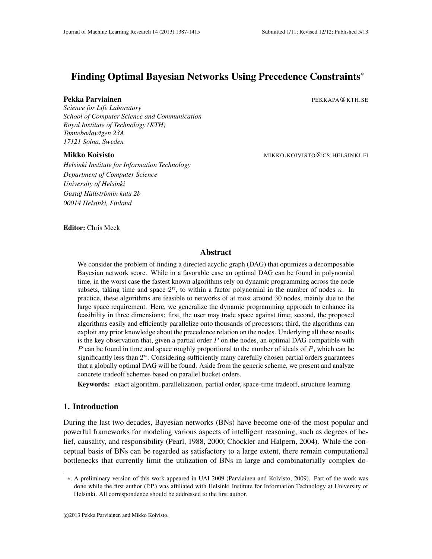# Finding Optimal Bayesian Networks Using Precedence Constraints∗

## Pekka Parviainen PEKKAPA@KTH.SE

*Science for Life Laboratory School of Computer Science and Communication Royal Institute of Technology (KTH) Tomtebodavagen 23A ¨ 17121 Solna, Sweden*

*Helsinki Institute for Information Technology Department of Computer Science University of Helsinki Gustaf Hallstr ¨ omin katu 2b ¨ 00014 Helsinki, Finland*

Mikko Koivisto MIKKO.KOIVISTO@CS.HELSINKI.FI

Editor: Chris Meek

## Abstract

We consider the problem of finding a directed acyclic graph (DAG) that optimizes a decomposable Bayesian network score. While in a favorable case an optimal DAG can be found in polynomial time, in the worst case the fastest known algorithms rely on dynamic programming across the node subsets, taking time and space  $2^n$ , to within a factor polynomial in the number of nodes *n*. In practice, these algorithms are feasible to networks of at most around 30 nodes, mainly due to the large space requirement. Here, we generalize the dynamic programming approach to enhance its feasibility in three dimensions: first, the user may trade space against time; second, the proposed algorithms easily and efficiently parallelize onto thousands of processors; third, the algorithms can exploit any prior knowledge about the precedence relation on the nodes. Underlying all these results is the key observation that, given a partial order *P* on the nodes, an optimal DAG compatible with *P* can be found in time and space roughly proportional to the number of ideals of *P*, which can be significantly less than 2<sup>n</sup>. Considering sufficiently many carefully chosen partial orders guarantees that a globally optimal DAG will be found. Aside from the generic scheme, we present and analyze concrete tradeoff schemes based on parallel bucket orders.

Keywords: exact algorithm, parallelization, partial order, space-time tradeoff, structure learning

## 1. Introduction

During the last two decades, Bayesian networks (BNs) have become one of the most popular and powerful frameworks for modeling various aspects of intelligent reasoning, such as degrees of belief, causality, and responsibility (Pearl, 1988, 2000; Chockler and Halpern, 2004). While the conceptual basis of BNs can be regarded as satisfactory to a large extent, there remain computational bottlenecks that currently limit the utilization of BNs in large and combinatorially complex do-

<sup>∗</sup>. A preliminary version of this work appeared in UAI 2009 (Parviainen and Koivisto, 2009). Part of the work was done while the first author (P.P.) was affiliated with Helsinki Institute for Information Technology at University of Helsinki. All correspondence should be addressed to the first author.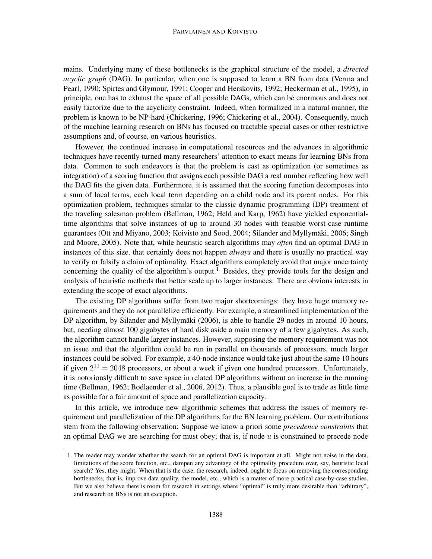#### PARVIAINEN AND KOIVISTO

mains. Underlying many of these bottlenecks is the graphical structure of the model, a *directed acyclic graph* (DAG). In particular, when one is supposed to learn a BN from data (Verma and Pearl, 1990; Spirtes and Glymour, 1991; Cooper and Herskovits, 1992; Heckerman et al., 1995), in principle, one has to exhaust the space of all possible DAGs, which can be enormous and does not easily factorize due to the acyclicity constraint. Indeed, when formalized in a natural manner, the problem is known to be NP-hard (Chickering, 1996; Chickering et al., 2004). Consequently, much of the machine learning research on BNs has focused on tractable special cases or other restrictive assumptions and, of course, on various heuristics.

However, the continued increase in computational resources and the advances in algorithmic techniques have recently turned many researchers' attention to exact means for learning BNs from data. Common to such endeavors is that the problem is cast as optimization (or sometimes as integration) of a scoring function that assigns each possible DAG a real number reflecting how well the DAG fits the given data. Furthermore, it is assumed that the scoring function decomposes into a sum of local terms, each local term depending on a child node and its parent nodes. For this optimization problem, techniques similar to the classic dynamic programming (DP) treatment of the traveling salesman problem (Bellman, 1962; Held and Karp, 1962) have yielded exponentialtime algorithms that solve instances of up to around 30 nodes with feasible worst-case runtime guarantees (Ott and Miyano, 2003; Koivisto and Sood, 2004; Silander and Myllymaki, 2006; Singh ¨ and Moore, 2005). Note that, while heuristic search algorithms may *often* find an optimal DAG in instances of this size, that certainly does not happen *always* and there is usually no practical way to verify or falsify a claim of optimality. Exact algorithms completely avoid that major uncertainty concerning the quality of the algorithm's output.<sup>1</sup> Besides, they provide tools for the design and analysis of heuristic methods that better scale up to larger instances. There are obvious interests in extending the scope of exact algorithms.

The existing DP algorithms suffer from two major shortcomings: they have huge memory requirements and they do not parallelize efficiently. For example, a streamlined implementation of the DP algorithm, by Silander and Myllymäki (2006), is able to handle 29 nodes in around 10 hours, but, needing almost 100 gigabytes of hard disk aside a main memory of a few gigabytes. As such, the algorithm cannot handle larger instances. However, supposing the memory requirement was not an issue and that the algorithm could be run in parallel on thousands of processors, much larger instances could be solved. For example, a 40-node instance would take just about the same 10 hours if given  $2^{11} = 2048$  processors, or about a week if given one hundred processors. Unfortunately, it is notoriously difficult to save space in related DP algorithms without an increase in the running time (Bellman, 1962; Bodlaender et al., 2006, 2012). Thus, a plausible goal is to trade as little time as possible for a fair amount of space and parallelization capacity.

In this article, we introduce new algorithmic schemes that address the issues of memory requirement and parallelization of the DP algorithms for the BN learning problem. Our contributions stem from the following observation: Suppose we know a priori some *precedence constraints* that an optimal DAG we are searching for must obey; that is, if node *u* is constrained to precede node

<sup>1.</sup> The reader may wonder whether the search for an optimal DAG is important at all. Might not noise in the data, limitations of the score function, etc., dampen any advantage of the optimality procedure over, say, heuristic local search? Yes, they might. When that is the case, the research, indeed, ought to focus on removing the corresponding bottlenecks, that is, improve data quality, the model, etc., which is a matter of more practical case-by-case studies. But we also believe there is room for research in settings where "optimal" is truly more desirable than "arbitrary", and research on BNs is not an exception.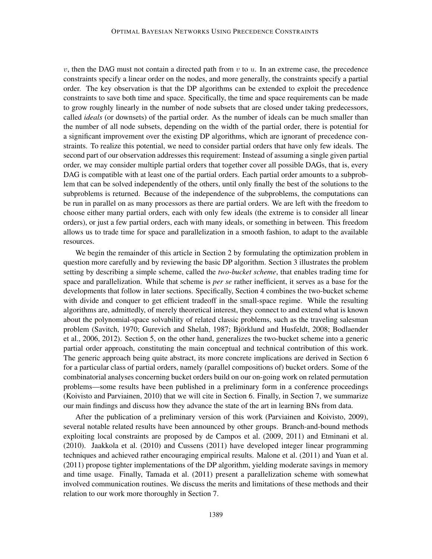$v$ , then the DAG must not contain a directed path from  $v$  to  $u$ . In an extreme case, the precedence constraints specify a linear order on the nodes, and more generally, the constraints specify a partial order. The key observation is that the DP algorithms can be extended to exploit the precedence constraints to save both time and space. Specifically, the time and space requirements can be made to grow roughly linearly in the number of node subsets that are closed under taking predecessors, called *ideals* (or downsets) of the partial order. As the number of ideals can be much smaller than the number of all node subsets, depending on the width of the partial order, there is potential for a significant improvement over the existing DP algorithms, which are ignorant of precedence constraints. To realize this potential, we need to consider partial orders that have only few ideals. The second part of our observation addresses this requirement: Instead of assuming a single given partial order, we may consider multiple partial orders that together cover all possible DAGs, that is, every DAG is compatible with at least one of the partial orders. Each partial order amounts to a subproblem that can be solved independently of the others, until only finally the best of the solutions to the subproblems is returned. Because of the independence of the subproblems, the computations can be run in parallel on as many processors as there are partial orders. We are left with the freedom to choose either many partial orders, each with only few ideals (the extreme is to consider all linear orders), or just a few partial orders, each with many ideals, or something in between. This freedom allows us to trade time for space and parallelization in a smooth fashion, to adapt to the available resources.

We begin the remainder of this article in Section 2 by formulating the optimization problem in question more carefully and by reviewing the basic DP algorithm. Section 3 illustrates the problem setting by describing a simple scheme, called the *two-bucket scheme*, that enables trading time for space and parallelization. While that scheme is *per se* rather inefficient, it serves as a base for the developments that follow in later sections. Specifically, Section 4 combines the two-bucket scheme with divide and conquer to get efficient tradeoff in the small-space regime. While the resulting algorithms are, admittedly, of merely theoretical interest, they connect to and extend what is known about the polynomial-space solvability of related classic problems, such as the traveling salesman problem (Savitch, 1970; Gurevich and Shelah, 1987; Björklund and Husfeldt, 2008; Bodlaender et al., 2006, 2012). Section 5, on the other hand, generalizes the two-bucket scheme into a generic partial order approach, constituting the main conceptual and technical contribution of this work. The generic approach being quite abstract, its more concrete implications are derived in Section 6 for a particular class of partial orders, namely (parallel compositions of) bucket orders. Some of the combinatorial analyses concerning bucket orders build on our on-going work on related permutation problems—some results have been published in a preliminary form in a conference proceedings (Koivisto and Parviainen, 2010) that we will cite in Section 6. Finally, in Section 7, we summarize our main findings and discuss how they advance the state of the art in learning BNs from data.

After the publication of a preliminary version of this work (Parviainen and Koivisto, 2009), several notable related results have been announced by other groups. Branch-and-bound methods exploiting local constraints are proposed by de Campos et al. (2009, 2011) and Etminani et al. (2010). Jaakkola et al. (2010) and Cussens (2011) have developed integer linear programming techniques and achieved rather encouraging empirical results. Malone et al. (2011) and Yuan et al. (2011) propose tighter implementations of the DP algorithm, yielding moderate savings in memory and time usage. Finally, Tamada et al. (2011) present a parallelization scheme with somewhat involved communication routines. We discuss the merits and limitations of these methods and their relation to our work more thoroughly in Section 7.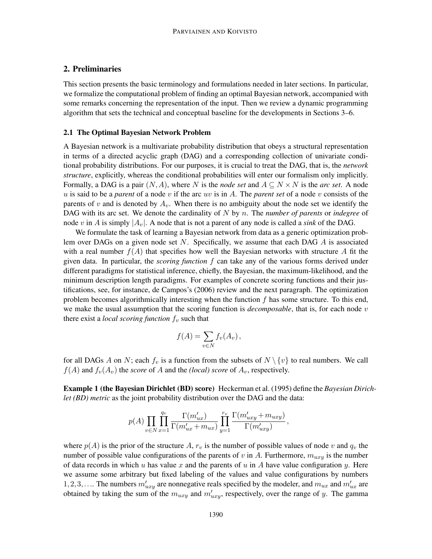## 2. Preliminaries

This section presents the basic terminology and formulations needed in later sections. In particular, we formalize the computational problem of finding an optimal Bayesian network, accompanied with some remarks concerning the representation of the input. Then we review a dynamic programming algorithm that sets the technical and conceptual baseline for the developments in Sections 3–6.

## 2.1 The Optimal Bayesian Network Problem

A Bayesian network is a multivariate probability distribution that obeys a structural representation in terms of a directed acyclic graph (DAG) and a corresponding collection of univariate conditional probability distributions. For our purposes, it is crucial to treat the DAG, that is, the *network structure*, explicitly, whereas the conditional probabilities will enter our formalism only implicitly. Formally, a DAG is a pair  $(N, A)$ , where *N* is the *node set* and  $A \subseteq N \times N$  is the *arc set*. A node *u* is said to be a *parent* of a node *v* if the arc *uv* is in *A*. The *parent set* of a node *v* consists of the parents of *v* and is denoted by  $A_v$ . When there is no ambiguity about the node set we identify the DAG with its arc set. We denote the cardinality of *N* by *n*. The *number of parents* or *indegree* of node *v* in *A* is simply  $|A_v|$ . A node that is not a parent of any node is called a *sink* of the DAG.

We formulate the task of learning a Bayesian network from data as a generic optimization problem over DAGs on a given node set *N*. Specifically, we assume that each DAG *A* is associated with a real number  $f(A)$  that specifies how well the Bayesian networks with structure A fit the given data. In particular, the *scoring function f* can take any of the various forms derived under different paradigms for statistical inference, chiefly, the Bayesian, the maximum-likelihood, and the minimum description length paradigms. For examples of concrete scoring functions and their justifications, see, for instance, de Campos's (2006) review and the next paragraph. The optimization problem becomes algorithmically interesting when the function *f* has some structure. To this end, we make the usual assumption that the scoring function is *decomposable*, that is, for each node *v* there exist a *local scoring function f<sup>v</sup>* such that

$$
f(A) = \sum_{v \in N} f_v(A_v),
$$

for all DAGs *A* on *N*; each  $f_v$  is a function from the subsets of  $N \setminus \{v\}$  to real numbers. We call  $f(A)$  and  $f_v(A_v)$  the *score* of *A* and the *(local) score* of  $A_v$ , respectively.

Example 1 (the Bayesian Dirichlet (BD) score) Heckerman et al. (1995) define the *Bayesian Dirichlet (BD) metric* as the joint probability distribution over the DAG and the data:

$$
p(A) \prod_{v \in N} \prod_{x=1}^{q_v} \frac{\Gamma(m'_{ux})}{\Gamma(m'_{ux} + m_{ux})} \prod_{y=1}^{r_v} \frac{\Gamma(m'_{uxy} + m_{uxy})}{\Gamma(m'_{uxy})},
$$

where  $p(A)$  is the prior of the structure A,  $r_v$  is the number of possible values of node  $v$  and  $q_v$  the number of possible value configurations of the parents of *v* in *A*. Furthermore,  $m_{uxv}$  is the number of data records in which *u* has value *x* and the parents of *u* in *A* have value configuration *y*. Here we assume some arbitrary but fixed labeling of the values and value configurations by numbers 1, 2, 3, .... The numbers  $m'_{uxy}$  are nonnegative reals specified by the modeler, and  $m'_{ux}$  and  $m'_{ux}$  are obtained by taking the sum of the  $m_{uxy}$  and  $m'_{uxy}$ , respectively, over the range of *y*. The gamma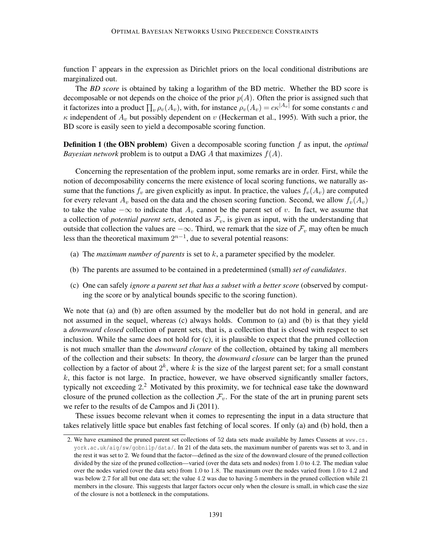function  $\Gamma$  appears in the expression as Dirichlet priors on the local conditional distributions are marginalized out.

The *BD score* is obtained by taking a logarithm of the BD metric. Whether the BD score is decomposable or not depends on the choice of the prior *p*(*A*). Often the prior is assigned such that it factorizes into a product  $\prod_v \rho_v(A_v)$ , with, for instance  $\rho_v(A_v) = c\kappa^{|A_v|}$  for some constants *c* and  $\kappa$  independent of  $A_v$  but possibly dependent on *v* (Heckerman et al., 1995). With such a prior, the BD score is easily seen to yield a decomposable scoring function.

Definition 1 (the OBN problem) Given a decomposable scoring function *f* as input, the *optimal Bayesian network* problem is to output a DAG *A* that maximizes *f*(*A*).

Concerning the representation of the problem input, some remarks are in order. First, while the notion of decomposability concerns the mere existence of local scoring functions, we naturally assume that the functions  $f_v$  are given explicitly as input. In practice, the values  $f_v(A_v)$  are computed for every relevant  $A_v$  based on the data and the chosen scoring function. Second, we allow  $f_v(A_v)$ to take the value  $-\infty$  to indicate that  $A_v$  cannot be the parent set of *v*. In fact, we assume that a collection of *potential parent sets*, denoted as  $\mathcal{F}_v$ , is given as input, with the understanding that outside that collection the values are  $-\infty$ . Third, we remark that the size of  $\mathcal{F}_v$  may often be much less than the theoretical maximum  $2^{n-1}$ , due to several potential reasons:

- (a) The *maximum number of parents* is set to *k*, a parameter specified by the modeler.
- (b) The parents are assumed to be contained in a predetermined (small) *set of candidates*.
- (c) One can safely *ignore a parent set that has a subset with a better score* (observed by computing the score or by analytical bounds specific to the scoring function).

We note that (a) and (b) are often assumed by the modeller but do not hold in general, and are not assumed in the sequel, whereas (c) always holds. Common to (a) and (b) is that they yield a *downward closed* collection of parent sets, that is, a collection that is closed with respect to set inclusion. While the same does not hold for (c), it is plausible to expect that the pruned collection is not much smaller than the *downward closure* of the collection, obtained by taking all members of the collection and their subsets: In theory, the *downward closure* can be larger than the pruned collection by a factor of about  $2^k$ , where  $k$  is the size of the largest parent set; for a small constant  $k$ , this factor is not large. In practice, however, we have observed significantly smaller factors, typically not exceeding 2.<sup>2</sup> Motivated by this proximity, we for technical ease take the downward closure of the pruned collection as the collection  $\mathcal{F}_v$ . For the state of the art in pruning parent sets we refer to the results of de Campos and Ji (2011).

These issues become relevant when it comes to representing the input in a data structure that takes relatively little space but enables fast fetching of local scores. If only (a) and (b) hold, then a

<sup>2.</sup> We have examined the pruned parent set collections of 52 data sets made available by James Cussens at www.cs. york.ac.uk/aig/sw/gobnilp/data/. In 21 of the data sets, the maximum number of parents was set to 3, and in the rest it was set to 2. We found that the factor—defined as the size of the downward closure of the pruned collection divided by the size of the pruned collection—varied (over the data sets and nodes) from 1*.*0 to 4*.*2. The median value over the nodes varied (over the data sets) from 1*.*0 to 1*.*8. The maximum over the nodes varied from 1*.*0 to 4*.*2 and was below 2*.*7 for all but one data set; the value 4*.*2 was due to having 5 members in the pruned collection while 21 members in the closure. This suggests that larger factors occur only when the closure is small, in which case the size of the closure is not a bottleneck in the computations.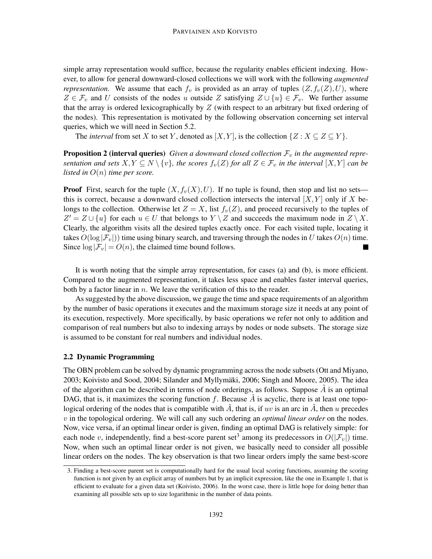simple array representation would suffice, because the regularity enables efficient indexing. However, to allow for general downward-closed collections we will work with the following *augmented representation*. We assume that each  $f_v$  is provided as an array of tuples  $(Z, f_v(Z), U)$ , where *Z* ∈  $\mathcal{F}_v$  and *U* consists of the nodes *u* outside *Z* satisfying  $Z \cup \{u\} \in \mathcal{F}_v$ . We further assume that the array is ordered lexicographically by *Z* (with respect to an arbitrary but fixed ordering of the nodes). This representation is motivated by the following observation concerning set interval queries, which we will need in Section 5.2.

The *interval* from set *X* to set *Y*, denoted as  $[X, Y]$ , is the collection  $\{Z : X \subseteq Z \subseteq Y\}$ .

**Proposition 2 (interval queries)** *Given a downward closed collection*  $\mathcal{F}_v$  *in the augmented representation and sets*  $X, Y \subseteq N \setminus \{v\}$ , the scores  $f_v(Z)$  for all  $Z \in \mathcal{F}_v$  in the interval  $[X, Y]$  can be *listed in O*(*n*) *time per score.*

**Proof** First, search for the tuple  $(X, f_v(X), U)$ . If no tuple is found, then stop and list no sets this is correct, because a downward closed collection intersects the interval  $[X, Y]$  only if X belongs to the collection. Otherwise let  $Z = X$ , list  $f_v(Z)$ , and proceed recursively to the tuples of  $Z' = Z \cup \{u\}$  for each  $u \in U$  that belongs to  $Y \setminus Z$  and succeeds the maximum node in  $Z \setminus X$ . Clearly, the algorithm visits all the desired tuples exactly once. For each visited tuple, locating it takes  $O(\log |\mathcal{F}_v|)$ ) time using binary search, and traversing through the nodes in *U* takes  $O(n)$  time. Since  $\log |\mathcal{F}_v| = O(n)$ , the claimed time bound follows.

It is worth noting that the simple array representation, for cases (a) and (b), is more efficient. Compared to the augmented representation, it takes less space and enables faster interval queries, both by a factor linear in *n*. We leave the verification of this to the reader.

As suggested by the above discussion, we gauge the time and space requirements of an algorithm by the number of basic operations it executes and the maximum storage size it needs at any point of its execution, respectively. More specifically, by basic operations we refer not only to addition and comparison of real numbers but also to indexing arrays by nodes or node subsets. The storage size is assumed to be constant for real numbers and individual nodes.

#### 2.2 Dynamic Programming

The OBN problem can be solved by dynamic programming across the node subsets (Ott and Miyano, 2003; Koivisto and Sood, 2004; Silander and Myllymaki, 2006; Singh and Moore, 2005). The idea ¨ of the algorithm can be described in terms of node orderings, as follows. Suppose  $\tilde{A}$  is an optimal DAG, that is, it maximizes the scoring function  $f$ . Because  $\overline{A}$  is acyclic, there is at least one topological ordering of the nodes that is compatible with  $\hat{A}$ , that is, if  $uv$  is an arc in  $\hat{A}$ , then *u* precedes *v* in the topological ordering. We will call any such ordering an *optimal linear order* on the nodes. Now, vice versa, if an optimal linear order is given, finding an optimal DAG is relatively simple: for each node *v*, independently, find a best-score parent set<sup>3</sup> among its predecessors in  $O(|\mathcal{F}_v|)$  time. Now, when such an optimal linear order is not given, we basically need to consider all possible linear orders on the nodes. The key observation is that two linear orders imply the same best-score

<sup>3.</sup> Finding a best-score parent set is computationally hard for the usual local scoring functions, assuming the scoring function is not given by an explicit array of numbers but by an implicit expression, like the one in Example 1, that is efficient to evaluate for a given data set (Koivisto, 2006). In the worst case, there is little hope for doing better than examining all possible sets up to size logarithmic in the number of data points.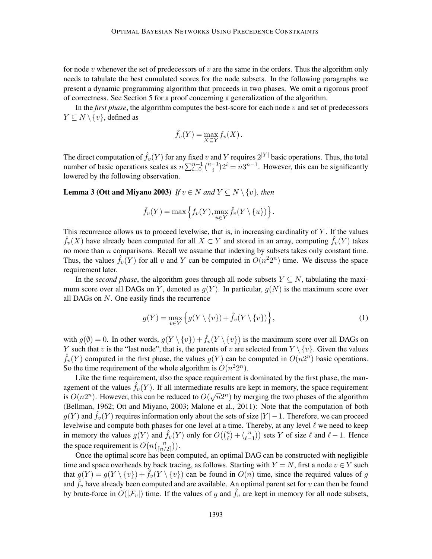for node *v* whenever the set of predecessors of *v* are the same in the orders. Thus the algorithm only needs to tabulate the best cumulated scores for the node subsets. In the following paragraphs we present a dynamic programming algorithm that proceeds in two phases. We omit a rigorous proof of correctness. See Section 5 for a proof concerning a generalization of the algorithm.

In the *first phase*, the algorithm computes the best-score for each node *v* and set of predecessors *Y* ⊂ *N* \ {*v*}, defined as

$$
\hat{f}_v(Y) = \max_{X \subseteq Y} f_v(X).
$$

The direct computation of  $\hat{f}_v(Y)$  for any fixed *v* and *Y* requires  $2^{|Y|}$  basic operations. Thus, the total number of basic operations scales as  $n \sum_{i=0}^{n-1} {n-1 \choose i} 2^i = n3^{n-1}$ . However, this can be significantly lowered by the following observation.

**Lemma 3 (Ott and Miyano 2003)** *If*  $v \in N$  *and*  $Y \subseteq N \setminus \{v\}$ *, then* 

$$
\hat{f}_v(Y) = \max \left\{ f_v(Y), \max_{u \in Y} \hat{f}_v(Y \setminus \{u\}) \right\}.
$$

This recurrence allows us to proceed levelwise, that is, in increasing cardinality of *Y* . If the values  $\hat{f}_v(X)$  have already been computed for all  $X \subset Y$  and stored in an array, computing  $\hat{f}_v(Y)$  takes no more than *n* comparisons. Recall we assume that indexing by subsets takes only constant time. Thus, the values  $\hat{f}_v(Y)$  for all *v* and *Y* can be computed in  $O(n^22^n)$  time. We discuss the space requirement later.

In the *second phase*, the algorithm goes through all node subsets  $Y \subseteq N$ , tabulating the maximum score over all DAGs on *Y*, denoted as  $g(Y)$ . In particular,  $g(N)$  is the maximum score over all DAGs on *N*. One easily finds the recurrence

$$
g(Y) = \max_{v \in Y} \left\{ g(Y \setminus \{v\}) + \hat{f}_v(Y \setminus \{v\}) \right\},\tag{1}
$$

with  $g(\emptyset) = 0$ . In other words,  $g(Y \setminus \{v\}) + \hat{f}_v(Y \setminus \{v\})$  is the maximum score over all DAGs on *Y* such that *v* is the "last node", that is, the parents of *v* are selected from  $Y \setminus \{v\}$ . Given the values  $\hat{f}_v(Y)$  computed in the first phase, the values  $g(Y)$  can be computed in  $O(n2^n)$  basic operations. So the time requirement of the whole algorithm is  $O(n^22^n)$ .

Like the time requirement, also the space requirement is dominated by the first phase, the management of the values  $\hat{f}_v(Y)$ . If all intermediate results are kept in memory, the space requirement is  $O(n2^n)$ . However, this can be reduced to  $O(\sqrt{n}2^n)$  by merging the two phases of the algorithm (Bellman, 1962; Ott and Miyano, 2003; Malone et al., 2011): Note that the computation of both  $g(Y)$  and  $f<sub>v</sub>(Y)$  requires information only about the sets of size  $|Y|-1$ . Therefore, we can proceed levelwise and compute both phases for one level at a time. Thereby, at any level *ℓ* we need to keep in memory the values  $g(Y)$  and  $\hat{f}_v(Y)$  only for  $O((\binom{n}{\ell} + \binom{n}{\ell-1})$  sets *Y* of size  $\ell$  and  $\ell-1$ . Hence the space requirement is  $O(nbinom{n}{\lceil n/2 \rceil}).$ 

Once the optimal score has been computed, an optimal DAG can be constructed with negligible time and space overheads by back tracing, as follows. Starting with  $Y = N$ , first a node  $v \in Y$  such that  $g(Y) = g(Y \setminus \{v\}) + f_v(Y \setminus \{v\})$  can be found in  $O(n)$  time, since the required values of *g* and  $f_v$  have already been computed and are available. An optimal parent set for  $v$  can then be found by brute-force in  $O(|\mathcal{F}_v|)$  time. If the values of *g* and  $\hat{f}_v$  are kept in memory for all node subsets,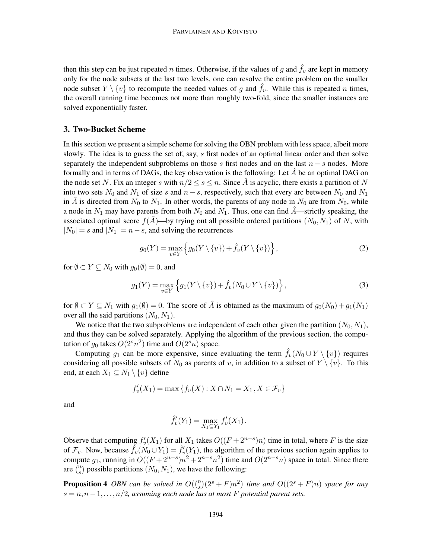then this step can be just repeated *n* times. Otherwise, if the values of *g* and  $\hat{f}_v$  are kept in memory only for the node subsets at the last two levels, one can resolve the entire problem on the smaller node subset  $Y \setminus \{v\}$  to recompute the needed values of *g* and  $f_v$ . While this is repeated *n* times, the overall running time becomes not more than roughly two-fold, since the smaller instances are solved exponentially faster.

## 3. Two-Bucket Scheme

In this section we present a simple scheme for solving the OBN problem with less space, albeit more slowly. The idea is to guess the set of, say, *s* first nodes of an optimal linear order and then solve separately the independent subproblems on those  $s$  first nodes and on the last  $n - s$  nodes. More formally and in terms of DAGs, the key observation is the following: Let  $\ddot{A}$  be an optimal DAG on the node set N. Fix an integer *s* with  $n/2 \le s \le n$ . Since *A* is acyclic, there exists a partition of N into two sets  $N_0$  and  $N_1$  of size *s* and  $n-s$ , respectively, such that every arc between  $N_0$  and  $N_1$ in *A* is directed from  $N_0$  to  $N_1$ . In other words, the parents of any node in  $N_0$  are from  $N_0$ , while a node in  $N_1$  may have parents from both  $N_0$  and  $N_1$ . Thus, one can find  $\ddot{A}$ —strictly speaking, the associated optimal score  $f(A)$ —by trying out all possible ordered partitions  $(N_0, N_1)$  of N, with  $|N_0| = s$  and  $|N_1| = n - s$ , and solving the recurrences

$$
g_0(Y) = \max_{v \in Y} \left\{ g_0(Y \setminus \{v\}) + \hat{f}_v(Y \setminus \{v\}) \right\},\tag{2}
$$

for  $\emptyset \subset Y \subseteq N_0$  with  $g_0(\emptyset) = 0$ , and

$$
g_1(Y) = \max_{v \in Y} \left\{ g_1(Y \setminus \{v\}) + \hat{f}_v(N_0 \cup Y \setminus \{v\}) \right\},\tag{3}
$$

for  $\emptyset \subset Y \subseteq N_1$  with  $g_1(\emptyset) = 0$ . The score of  $\hat{A}$  is obtained as the maximum of  $g_0(N_0) + g_1(N_1)$ over all the said partitions  $(N_0, N_1)$ .

We notice that the two subproblems are independent of each other given the partition  $(N_0, N_1)$ , and thus they can be solved separately. Applying the algorithm of the previous section, the computation of  $g_0$  takes  $O(2<sup>s</sup>n<sup>2</sup>)$  time and  $O(2<sup>s</sup>n)$  space.

Computing  $g_1$  can be more expensive, since evaluating the term  $\hat{f}_v(N_0 \cup Y \setminus \{v\})$  requires considering all possible subsets of  $N_0$  as parents of *v*, in addition to a subset of  $Y \setminus \{v\}$ . To this end, at each  $X_1 \subseteq N_1 \setminus \{v\}$  define

$$
f'_{v}(X_{1}) = \max \{ f_{v}(X) : X \cap N_{1} = X_{1}, X \in \mathcal{F}_{v} \}
$$

and

$$
\hat{f}'_v(Y_1) = \max_{X_1 \subseteq Y_1} f'_v(X_1).
$$

Observe that computing  $f'_v(X_1)$  for all  $X_1$  takes  $O((F+2^{n-s})n)$  time in total, where *F* is the size of  $\mathcal{F}_v$ . Now, because  $\hat{f}_v(N_0 \cup Y_1) = \hat{f}'_v(Y_1)$ , the algorithm of the previous section again applies to compute  $g_1$ , running in  $O((F + 2^{n-s})n^2 + 2^{n-s}n^2)$  time and  $O(2^{n-s}n)$  space in total. Since there are  $\binom{n}{s}$  possible partitions  $(N_0, N_1)$ , we have the following:

**Proposition 4** OBN can be solved in  $O((\binom{n}{s}(2^s + F)n^2)$  time and  $O((2^s + F)n)$  space for any  $s = n, n-1, \ldots, n/2$ , assuming each node has at most F potential parent sets.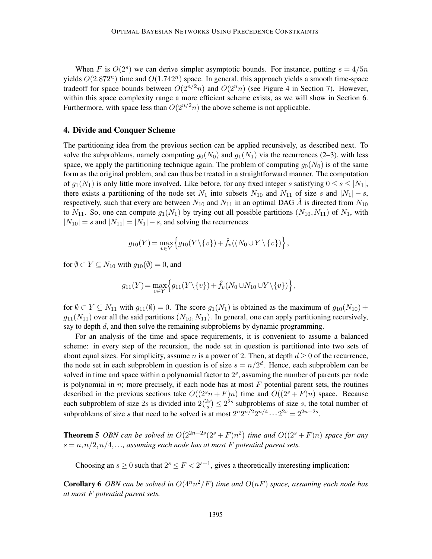When *F* is  $O(2^s)$  we can derive simpler asymptotic bounds. For instance, putting  $s = 4/5n$ yields *O*(2*.*872*<sup>n</sup>* ) time and *O*(1*.*742*<sup>n</sup>* ) space. In general, this approach yields a smooth time-space tradeoff for space bounds between  $O(2^{n/2}n)$  and  $O(2^n n)$  (see Figure 4 in Section 7). However, within this space complexity range a more efficient scheme exists, as we will show in Section 6. Furthermore, with space less than  $O(2^{n/2}n)$  the above scheme is not applicable.

### 4. Divide and Conquer Scheme

The partitioning idea from the previous section can be applied recursively, as described next. To solve the subproblems, namely computing  $g_0(N_0)$  and  $g_1(N_1)$  via the recurrences (2–3), with less space, we apply the partitioning technique again. The problem of computing  $q_0(N_0)$  is of the same form as the original problem, and can thus be treated in a straightforward manner. The computation of  $g_1(N_1)$  is only little more involved. Like before, for any fixed integer *s* satisfying  $0 \le s \le |N_1|$ , there exists a partitioning of the node set  $N_1$  into subsets  $N_{10}$  and  $N_{11}$  of size *s* and  $|N_1| - s$ , respectively, such that every arc between  $N_{10}$  and  $N_{11}$  in an optimal DAG  $\hat{A}$  is directed from  $N_{10}$ to  $N_{11}$ . So, one can compute  $g_1(N_1)$  by trying out all possible partitions  $(N_{10}, N_{11})$  of  $N_1$ , with  $|N_{10}| = s$  and  $|N_{11}| = |N_1| - s$ , and solving the recurrences

$$
g_{10}(Y) = \max_{v \in Y} \left\{ g_{10}(Y \setminus \{v\}) + \hat{f}_v((N_0 \cup Y \setminus \{v\}) \right\},\
$$

for  $\emptyset \subset Y \subseteq N_{10}$  with  $g_{10}(\emptyset) = 0$ , and

$$
g_{11}(Y) = \max_{v \in Y} \left\{ g_{11}(Y \setminus \{v\}) + \hat{f}_v(N_0 \cup N_{10} \cup Y \setminus \{v\}) \right\},\
$$

for  $\emptyset \subset Y \subseteq N_{11}$  with  $g_{11}(\emptyset) = 0$ . The score  $g_1(N_1)$  is obtained as the maximum of  $g_{10}(N_{10}) +$  $g_{11}(N_{11})$  over all the said partitions  $(N_{10}, N_{11})$ . In general, one can apply partitioning recursively, say to depth *d*, and then solve the remaining subproblems by dynamic programming.

For an analysis of the time and space requirements, it is convenient to assume a balanced scheme: in every step of the recursion, the node set in question is partitioned into two sets of about equal sizes. For simplicity, assume *n* is a power of 2. Then, at depth  $d \geq 0$  of the recurrence, the node set in each subproblem in question is of size  $s = n/2^d$ . Hence, each subproblem can be solved in time and space within a polynomial factor to 2 *s* , assuming the number of parents per node is polynomial in  $n$ ; more precisely, if each node has at most  $F$  potential parent sets, the routines described in the previous sections take  $O((2^{s}n + F)n)$  time and  $O((2^{s} + F)n)$  space. Because each subproblem of size 2s is divided into  $2\binom{2s}{s}$  $\binom{2s}{s} \leq 2^{2s}$  subproblems of size *s*, the total number of subproblems of size *s* that need to be solved is at most  $2^n 2^{n/2} 2^{n/4} \cdots 2^{2s} = 2^{2n-2s}$ .

**Theorem 5** OBN can be solved in  $O(2^{2n-2s}(2^s + F)n^2)$  time and  $O((2^s + F)n)$  space for any  $s = n, n/2, n/4, \ldots$ , assuming each node has at most F potential parent sets.

Choosing an  $s \ge 0$  such that  $2^s \le F < 2^{s+1}$ , gives a theoretically interesting implication:

**Corollary 6** OBN can be solved in  $O(4^n n^2/F)$  time and  $O(nF)$  space, assuming each node has *at most F potential parent sets.*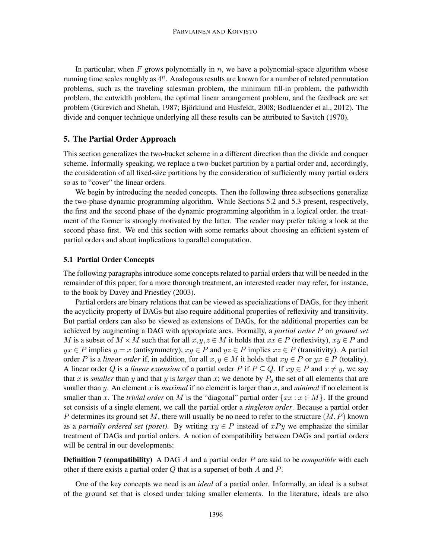In particular, when *F* grows polynomially in *n*, we have a polynomial-space algorithm whose running time scales roughly as 4 *n* . Analogous results are known for a number of related permutation problems, such as the traveling salesman problem, the minimum fill-in problem, the pathwidth problem, the cutwidth problem, the optimal linear arrangement problem, and the feedback arc set problem (Gurevich and Shelah, 1987; Bjorklund and Husfeldt, 2008; Bodlaender et al., 2012). The ¨ divide and conquer technique underlying all these results can be attributed to Savitch (1970).

## 5. The Partial Order Approach

This section generalizes the two-bucket scheme in a different direction than the divide and conquer scheme. Informally speaking, we replace a two-bucket partition by a partial order and, accordingly, the consideration of all fixed-size partitions by the consideration of sufficiently many partial orders so as to "cover" the linear orders.

We begin by introducing the needed concepts. Then the following three subsections generalize the two-phase dynamic programming algorithm. While Sections 5.2 and 5.3 present, respectively, the first and the second phase of the dynamic programming algorithm in a logical order, the treatment of the former is strongly motivated by the latter. The reader may prefer taking a look at the second phase first. We end this section with some remarks about choosing an efficient system of partial orders and about implications to parallel computation.

## 5.1 Partial Order Concepts

The following paragraphs introduce some concepts related to partial orders that will be needed in the remainder of this paper; for a more thorough treatment, an interested reader may refer, for instance, to the book by Davey and Priestley (2003).

Partial orders are binary relations that can be viewed as specializations of DAGs, for they inherit the acyclicity property of DAGs but also require additional properties of reflexivity and transitivity. But partial orders can also be viewed as extensions of DAGs, for the additional properties can be achieved by augmenting a DAG with appropriate arcs. Formally, a *partial order P* on *ground set M* is a subset of  $M \times M$  such that for all  $x, y, z \in M$  it holds that  $xx \in P$  (reflexivity),  $xy \in P$  and  $yx \in P$  implies  $y = x$  (antisymmetry),  $xy \in P$  and  $yz \in P$  implies  $xz \in P$  (transitivity). A partial order *P* is a *linear order* if, in addition, for all  $x, y \in M$  it holds that  $xy \in P$  or  $yx \in P$  (totality). A linear order *Q* is a *linear extension* of a partial order *P* if  $P \subseteq Q$ . If  $xy \in P$  and  $x \neq y$ , we say that *x* is *smaller* than *y* and that *y* is *larger* than *x*; we denote by  $P_y$  the set of all elements that are smaller than *y*. An element *x* is *maximal* if no element is larger than *x*, and *minimal* if no element is smaller than *x*. The *trivial order* on *M* is the "diagonal" partial order  $\{xx : x \in M\}$ . If the ground set consists of a single element, we call the partial order a *singleton order*. Because a partial order *P* determines its ground set *M*, there will usually be no need to refer to the structure (*M,P*) known as a *partially ordered set (poset)*. By writing  $xy \in P$  instead of  $xPy$  we emphasize the similar treatment of DAGs and partial orders. A notion of compatibility between DAGs and partial orders will be central in our developments:

Definition 7 (compatibility) A DAG *A* and a partial order *P* are said to be *compatible* with each other if there exists a partial order *Q* that is a superset of both *A* and *P*.

One of the key concepts we need is an *ideal* of a partial order. Informally, an ideal is a subset of the ground set that is closed under taking smaller elements. In the literature, ideals are also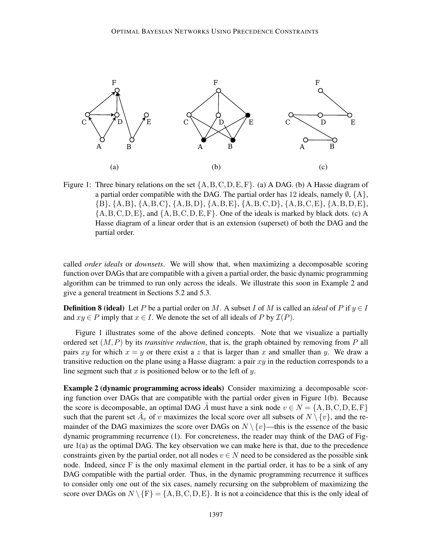

Figure 1: Three binary relations on the set {A*,*B*,*C*,*D*,*E*,*F}. (a) A DAG. (b) A Hasse diagram of a partial order compatible with the DAG. The partial order has 12 ideals, namely  $\emptyset$ ,  $\{A\}$ , {B}, {A*,*B}, {A*,*B*,*C}, {A*,*B*,*D}, {A*,*B*,*E}, {A*,*B*,*C*,*D}, {A*,*B*,*C*,*E}, {A*,*B*,*D*,*E}, {A*,*B*,*C*,*D*,*E}, and {A*,*B*,*C*,*D*,*E*,*F}. One of the ideals is marked by black dots. (c) A Hasse diagram of a linear order that is an extension (superset) of both the DAG and the partial order.

called *order ideals* or *downsets*. We will show that, when maximizing a decomposable scoring function over DAGs that are compatible with a given a partial order, the basic dynamic programming algorithm can be trimmed to run only across the ideals. We illustrate this soon in Example 2 and give a general treatment in Sections 5.2 and 5.3.

**Definition 8 (ideal)** Let *P* be a partial order on *M*. A subset *I* of *M* is called an *ideal* of *P* if  $y \in I$ and  $xy \in P$  imply that  $x \in I$ . We denote the set of all ideals of P by  $\mathcal{I}(P)$ .

Figure 1 illustrates some of the above defined concepts. Note that we visualize a partially ordered set (*M,P*) by its *transitive reduction*, that is, the graph obtained by removing from *P* all pairs *xy* for which  $x = y$  or there exist a *z* that is larger than *x* and smaller than *y*. We draw a transitive reduction on the plane using a Hasse diagram: a pair *xy* in the reduction corresponds to a line segment such that *x* is positioned below or to the left of *y*.

Example 2 (dynamic programming across ideals) Consider maximizing a decomposable scoring function over DAGs that are compatible with the partial order given in Figure 1(b). Because the score is decomposable, an optimal DAG  $\hat{A}$  must have a sink node  $v \in N = \{A, B, C, D, E, F\}$ such that the parent set  $\hat{A}_v$  of *v* maximizes the local score over all subsets of  $N \setminus \{v\}$ , and the remainder of the DAG maximizes the score over DAGs on  $N \setminus \{v\}$ —this is the essence of the basic dynamic programming recurrence (1). For concreteness, the reader may think of the DAG of Figure 1(a) as the optimal DAG. The key observation we can make here is that, due to the precedence constraints given by the partial order, not all nodes  $v \in N$  need to be considered as the possible sink node. Indeed, since F is the only maximal element in the partial order, it has to be a sink of any DAG compatible with the partial order. Thus, in the dynamic programming recurrence it suffices to consider only one out of the six cases, namely recursing on the subproblem of maximizing the score over DAGs on  $N \setminus \{F\} = \{A, B, C, D, E\}$ . It is not a coincidence that this is the only ideal of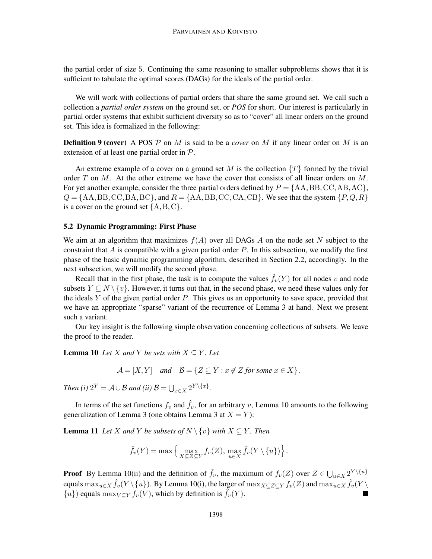the partial order of size 5. Continuing the same reasoning to smaller subproblems shows that it is sufficient to tabulate the optimal scores (DAGs) for the ideals of the partial order.

We will work with collections of partial orders that share the same ground set. We call such a collection a *partial order system* on the ground set, or *POS* for short. Our interest is particularly in partial order systems that exhibit sufficient diversity so as to "cover" all linear orders on the ground set. This idea is formalized in the following:

**Definition 9 (cover)** A POS  $\mathcal{P}$  on *M* is said to be a *cover* on *M* if any linear order on *M* is an extension of at least one partial order in P.

An extreme example of a cover on a ground set M is the collection  $\{T\}$  formed by the trivial order *T* on *M*. At the other extreme we have the cover that consists of all linear orders on *M*. For yet another example, consider the three partial orders defined by  $P = \{AA, BB, CC, AB, AC\}$ ,  $Q = \{AA, BB, CC, BA, BC\}$ , and  $R = \{AA, BB, CC, CA, CB\}$ . We see that the system  $\{P, Q, R\}$ is a cover on the ground set {A*,*B*,*C}.

#### 5.2 Dynamic Programming: First Phase

We aim at an algorithm that maximizes  $f(A)$  over all DAGs A on the node set N subject to the constraint that *A* is compatible with a given partial order *P*. In this subsection, we modify the first phase of the basic dynamic programming algorithm, described in Section 2.2, accordingly. In the next subsection, we will modify the second phase.

Recall that in the first phase, the task is to compute the values  $\hat{f}_v(Y)$  for all nodes *v* and node subsets  $Y \subseteq N \setminus \{v\}$ . However, it turns out that, in the second phase, we need these values only for the ideals *Y* of the given partial order *P*. This gives us an opportunity to save space, provided that we have an appropriate "sparse" variant of the recurrence of Lemma 3 at hand. Next we present such a variant.

Our key insight is the following simple observation concerning collections of subsets. We leave the proof to the reader.

**Lemma 10** *Let X and Y be sets with*  $X \subseteq Y$ *. Let* 

$$
\mathcal{A} = [X, Y] \quad and \quad \mathcal{B} = \{ Z \subseteq Y : x \notin Z \text{ for some } x \in X \}.
$$

*Then (i)*  $2^Y = A \cup B$  *and (ii)*  $B = \bigcup_{x \in X} 2^{Y \setminus \{x\}}$ .

In terms of the set functions  $f_v$  and  $\hat{f}_v$ , for an arbitrary *v*, Lemma 10 amounts to the following generalization of Lemma 3 (one obtains Lemma 3 at  $X = Y$ ):

**Lemma 11** *Let X and Y be subsets of*  $N \setminus \{v\}$  *with*  $X \subseteq Y$ *. Then* 

$$
\hat{f}_v(Y) = \max \left\{ \max_{X \subseteq Z \subseteq Y} f_v(Z), \max_{u \in X} \hat{f}_v(Y \setminus \{u\}) \right\}.
$$

**Proof** By Lemma 10(ii) and the definition of  $\hat{f}_v$ , the maximum of  $f_v(Z)$  over  $Z \in \bigcup_{u \in X} 2^Y \setminus \{u\}$  $\int$  equals  $\max_{u \in X} \hat{f}_v(Y \setminus \{u\})$ . By Lemma 10(i), the larger of  $\max_{X \subseteq Z \subseteq Y} f_v(Z)$  and  $\max_{u \in X} \hat{f}_v(Y \setminus Y)$  $\{u\}$ ) equals max $_{V\subset Y} f_v(V)$ , which by definition is  $\hat{f}_v(Y)$ .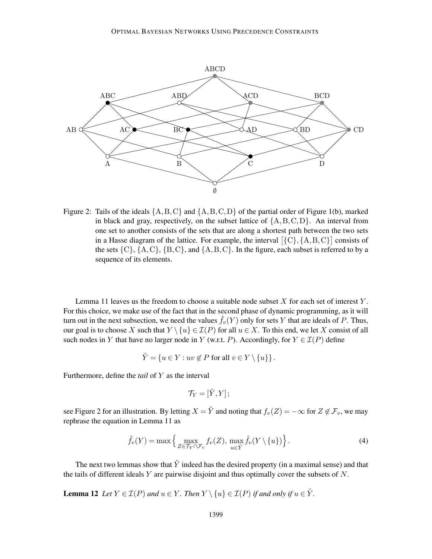

Figure 2: Tails of the ideals {A*,*B*,*C} and {A*,*B*,*C*,*D} of the partial order of Figure 1(b), marked in black and gray, respectively, on the subset lattice of {A*,*B*,*C*,*D}. An interval from one set to another consists of the sets that are along a shortest path between the two sets in a Hasse diagram of the lattice. For example, the interval  $[\{C\}, \{A, B, C\}]$  consists of the sets  $\{C\}$ ,  $\{A, C\}$ ,  $\{B, C\}$ , and  $\{A, B, C\}$ . In the figure, each subset is referred to by a sequence of its elements.

Lemma 11 leaves us the freedom to choose a suitable node subset *X* for each set of interest *Y* . For this choice, we make use of the fact that in the second phase of dynamic programming, as it will turn out in the next subsection, we need the values  $\hat{f}_v(Y)$  only for sets Y that are ideals of P. Thus, our goal is to choose *X* such that  $Y \setminus \{u\} \in \mathcal{I}(P)$  for all  $u \in X$ . To this end, we let *X* consist of all such nodes in *Y* that have no larger node in *Y* (w.r.t. *P*). Accordingly, for  $Y \in \mathcal{I}(P)$  define

$$
\check{Y} = \{ u \in Y : uv \notin P \text{ for all } v \in Y \setminus \{u\} \}.
$$

Furthermore, define the *tail* of *Y* as the interval

$$
\mathcal{T}_Y=[\check{Y},Y];
$$

see Figure 2 for an illustration. By letting  $X = \check{Y}$  and noting that  $f_v(Z) = -\infty$  for  $Z \notin \mathcal{F}_v$ , we may rephrase the equation in Lemma 11 as

$$
\hat{f}_v(Y) = \max\left\{\max_{Z \in \mathcal{T}_Y \cap \mathcal{F}_v} f_v(Z), \max_{u \in Y} \hat{f}_v(Y \setminus \{u\})\right\}.
$$
\n(4)

The next two lemmas show that  $\check{Y}$  indeed has the desired property (in a maximal sense) and that the tails of different ideals *Y* are pairwise disjoint and thus optimally cover the subsets of *N*.

**Lemma 12** *Let*  $Y \in \mathcal{I}(P)$  *and*  $u \in Y$ *. Then*  $Y \setminus \{u\} \in \mathcal{I}(P)$  *if and only if*  $u \in \check{Y}$ *.*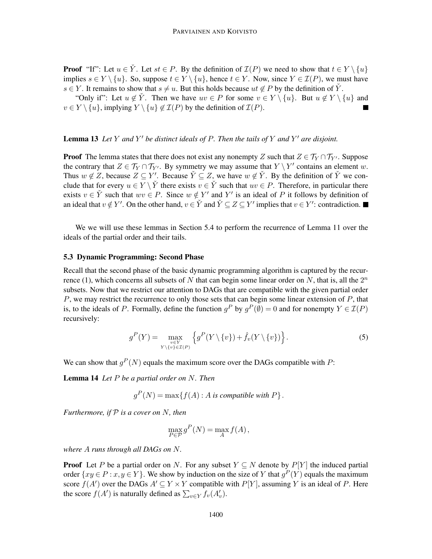**Proof** "If": Let  $u \in Y$ . Let  $st \in P$ . By the definition of  $\mathcal{I}(P)$  we need to show that  $t \in Y \setminus \{u\}$ implies  $s \in Y \setminus \{u\}$ . So, suppose  $t \in Y \setminus \{u\}$ , hence  $t \in Y$ . Now, since  $Y \in \mathcal{I}(P)$ , we must have *s* ∈ *Y*. It remains to show that *s*  $\neq u$ . But this holds because *ut*  $\notin$  *P* by the definition of *Y*<sup></sup>.

"Only if": Let  $u \notin Y$ . Then we have  $uv \in P$  for some  $v \in Y \setminus \{u\}$ . But  $u \notin Y \setminus \{u\}$  and  $v \in Y \setminus \{u\}$ , implying  $Y \setminus \{u\} \notin \mathcal{I}(P)$  by the definition of  $\mathcal{I}(P)$ .

## Lemma 13 *Let Y and Y* ′ *be distinct ideals of P. Then the tails of Y and Y* ′ *are disjoint.*

**Proof** The lemma states that there does not exist any nonempty *Z* such that  $Z \in \mathcal{T}_Y \cap \mathcal{T}_{Y'}$ . Suppose the contrary that  $Z \in \mathcal{T}_Y \cap \mathcal{T}_{Y'}$ . By symmetry we may assume that  $Y \setminus Y'$  contains an element *w*. Thus  $w \notin Z$ , because  $Z \subseteq Y'$ . Because  $\check{Y} \subseteq Z$ , we have  $w \notin \check{Y}$ . By the definition of  $\check{Y}$  we conclude that for every  $u \in Y \setminus \check{Y}$  there exists  $v \in \check{Y}$  such that  $uv \in P$ . Therefore, in particular there exists  $v \in \check{Y}$  such that  $wv \in P$ . Since  $w \notin Y'$  and  $Y'$  is an ideal of P it follows by definition of an ideal that  $v \notin Y'$ . On the other hand,  $v \in Y'$  and  $\check{Y} \subseteq Z \subseteq Y'$  implies that  $v \in Y'$ : contradiction.

We we will use these lemmas in Section 5.4 to perform the recurrence of Lemma 11 over the ideals of the partial order and their tails.

#### 5.3 Dynamic Programming: Second Phase

Recall that the second phase of the basic dynamic programming algorithm is captured by the recurrence (1), which concerns all subsets of  $N$  that can begin some linear order on  $N$ , that is, all the  $2<sup>n</sup>$ subsets. Now that we restrict our attention to DAGs that are compatible with the given partial order *P*, we may restrict the recurrence to only those sets that can begin some linear extension of *P*, that is, to the ideals of *P*. Formally, define the function  $g^P$  by  $g^P(\emptyset) = 0$  and for nonempty  $Y \in \mathcal{I}(P)$ recursively:

$$
g^{P}(Y) = \max_{\substack{v \in Y \\ Y \setminus \{v\} \in \mathcal{I}(P)}} \left\{ g^{P}(Y \setminus \{v\}) + \hat{f}_{v}(Y \setminus \{v\}) \right\}.
$$
 (5)

We can show that  $g^P(N)$  equals the maximum score over the DAGs compatible with *P*:

Lemma 14 *Let P be a partial order on N. Then*

 $g^P(N) = \max\{f(A) : A \text{ is compatible with } P\}.$ 

*Furthermore, if* P *is a cover on N, then*

$$
\max_{P \in \mathcal{P}} g^P(N) = \max_A f(A),
$$

*where A runs through all DAGs on N.*

**Proof** Let *P* be a partial order on *N*. For any subset  $Y \subseteq N$  denote by  $P[Y]$  the induced partial order  $\{xy \in P : x, y \in Y\}$ . We show by induction on the size of *Y* that  $g^P(Y)$  equals the maximum score  $f(A')$  over the DAGs  $A' \subseteq Y \times Y$  compatible with  $P[Y]$ , assuming *Y* is an ideal of *P*. Here the score  $f(A')$  is naturally defined as  $\sum_{v \in Y} f_v(A'_v)$ .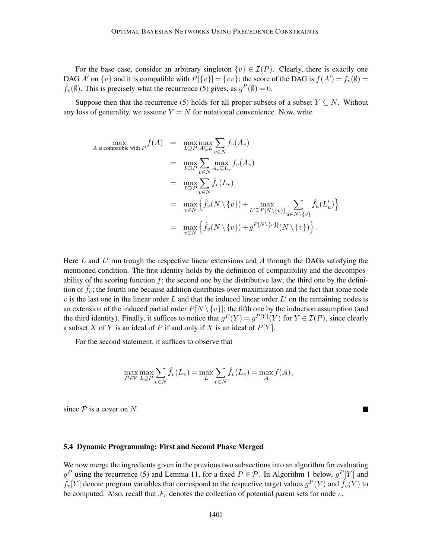For the base case, consider an arbitrary singleton  $\{v\} \in \mathcal{I}(P)$ . Clearly, there is exactly one DAG *A'* on  $\{v\}$  and it is compatible with  $P[\{v\}] = \{vv\}$ ; the score of the DAG is  $f(A') = f_v(\emptyset) =$  $\hat{f}_v(\emptyset)$ . This is precisely what the recurrence (5) gives, as  $g^P(\emptyset) = 0$ .

Suppose then that the recurrence (5) holds for all proper subsets of a subset  $Y \subseteq N$ . Without any loss of generality, we assume  $Y = N$  for notational convenience. Now, write

$$
\begin{array}{rcl}\n\max & \max \\ A \text{ is compatible with } P \n\end{array}\n\begin{aligned}\n& \max_{L \supseteq P} \max_{A \subseteq L} \sum_{v \in N} f_v(A_v) \\
& = & \max_{L \supseteq P} \sum_{v \in N} \max_{A_v \subseteq L_v} f_v(A_v) \\
& = & \max_{L \supseteq P} \sum_{v \in N} \hat{f}_v(L_v) \\
& = & \max_{v \in N} \left\{ \hat{f}_v(N \setminus \{v\}) + \max_{L' \supseteq P[N \setminus \{v\}} \sum_{u \in N \setminus \{v\}} \hat{f}_u(L'_u) \right\} \\
& = & \max_{v \in N} \left\{ \hat{f}_v(N \setminus \{v\}) + g^{P[N \setminus \{v\}}(N \setminus \{v\}) \right\}.\n\end{aligned}
$$

Here *L* and *L'* run trough the respective linear extensions and *A* through the DAGs satisfying the mentioned condition. The first identity holds by the definition of compatibility and the decomposability of the scoring function  $f$ ; the second one by the distributive law; the third one by the definition of  $f_v$ ; the fourth one because addition distributes over maximization and the fact that some node  $v$  is the last one in the linear order  $L$  and that the induced linear order  $L'$  on the remaining nodes is an extension of the induced partial order  $P[N \setminus \{v\}]$ ; the fifth one by the induction assumption (and the third identity). Finally, it suffices to notice that  $g^P(Y) = g^{P[Y]}(Y)$  for  $Y \in \mathcal{I}(P)$ , since clearly a subset *X* of *Y* is an ideal of *P* if and only if *X* is an ideal of *P*[*Y* ].

For the second statement, it suffices to observe that

$$
\max_{P \in \mathcal{P}} \max_{L \supseteq P} \sum_{v \in N} \hat{f}_v(L_v) = \max_{L} \sum_{v \in N} \hat{f}_v(L_v) = \max_{A} f(A),
$$

 $\blacksquare$ 

since  $P$  is a cover on  $N$ .

#### 5.4 Dynamic Programming: First and Second Phase Merged

We now merge the ingredients given in the previous two subsections into an algorithm for evaluating  $g^P$  using the recurrence (5) and Lemma 11, for a fixed  $P \in \mathcal{P}$ . In Algorithm 1 below,  $g^P[Y]$  and  $\hat{f}_v[Y]$  denote program variables that correspond to the respective target values  $g^P(Y)$  and  $\hat{f}_v(Y)$  to be computed. Also, recall that  $\mathcal{F}_v$  denotes the collection of potential parent sets for node  $v$ .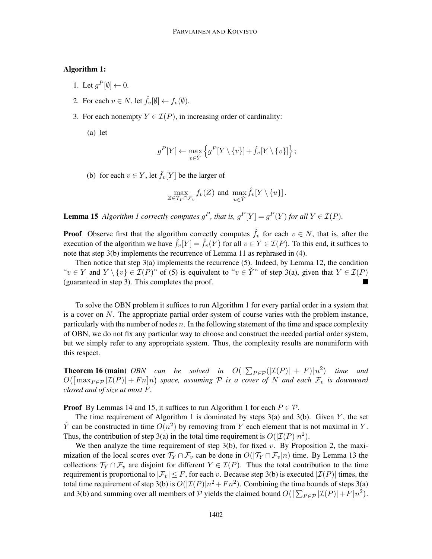## Algorithm 1:

- 1. Let  $g^P[\emptyset] \leftarrow 0$ .
- 2. For each  $v \in N$ , let  $\hat{f}_v[\emptyset] \leftarrow f_v(\emptyset)$ .
- 3. For each nonempty  $Y \in \mathcal{I}(P)$ , in increasing order of cardinality:

(a) let

$$
g^{P}[Y] \leftarrow \max_{v \in \check{Y}} \left\{ g^{P}[Y \setminus \{v\}] + \hat{f}_{v}[Y \setminus \{v\}] \right\};
$$

(b) for each  $v \in Y$ , let  $\hat{f}_v[Y]$  be the larger of

$$
\max_{Z \in \mathcal{T}_Y \cap \mathcal{F}_v} f_v(Z) \text{ and } \max_{u \in \check{Y}} \hat{f}_v[Y \setminus \{u\}].
$$

**Lemma 15** Algorithm 1 correctly computes  $g^P$ , that is,  $g^P[Y] = g^P(Y)$  for all  $Y \in \mathcal{I}(P)$ .

**Proof** Observe first that the algorithm correctly computes  $\hat{f}_v$  for each  $v \in N$ , that is, after the execution of the algorithm we have  $\hat{f}_v[Y] = \hat{f}_v(Y)$  for all  $v \in Y \in \mathcal{I}(P)$ . To this end, it suffices to note that step 3(b) implements the recurrence of Lemma 11 as rephrased in (4).

Then notice that step 3(a) implements the recurrence (5). Indeed, by Lemma 12, the condition " $v \in Y$  and  $Y \setminus \{v\} \in \mathcal{I}(P)$ " of (5) is equivalent to " $v \in Y$ " of step 3(a), given that  $Y \in \mathcal{I}(P)$ <br>(guaranteed in step 3). This completes the proof. (guaranteed in step 3). This completes the proof.

To solve the OBN problem it suffices to run Algorithm 1 for every partial order in a system that is a cover on *N*. The appropriate partial order system of course varies with the problem instance, particularly with the number of nodes *n*. In the following statement of the time and space complexity of OBN, we do not fix any particular way to choose and construct the needed partial order system, but we simply refer to any appropriate system. Thus, the complexity results are nonuniform with this respect.

**Theorem 16 (main)** *OBN* can be solved in  $O([\sum_{P \in \mathcal{P}}(|\mathcal{I}(P)| + F)]n^2)$  time and  $O([max_{P \in \mathcal{P}} |\mathcal{I}(P)| + Fn]n)$  space, assuming  $P$  *is a cover of*  $N$  *and each*  $\mathcal{F}_v$  *is downward closed and of size at most F.*

**Proof** By Lemmas 14 and 15, it suffices to run Algorithm 1 for each  $P \in \mathcal{P}$ .

The time requirement of Algorithm 1 is dominated by steps 3(a) and 3(b). Given *Y* , the set  $\check{Y}$  can be constructed in time  $O(n^2)$  by removing from *Y* each element that is not maximal in *Y*. Thus, the contribution of step 3(a) in the total time requirement is  $O(|\mathcal{I}(P)|n^2)$ .

We then analyze the time requirement of step  $3(b)$ , for fixed *v*. By Proposition 2, the maximization of the local scores over  $\mathcal{T}_Y \cap \mathcal{F}_v$  can be done in  $O(|\mathcal{T}_Y \cap \mathcal{F}_v|n)$  time. By Lemma 13 the collections  $\mathcal{T}_Y \cap \mathcal{F}_v$  are disjoint for different  $Y \in \mathcal{I}(P)$ . Thus the total contribution to the time requirement is proportional to  $|\mathcal{F}_v| \leq F$ , for each *v*. Because step 3(b) is executed  $|\mathcal{I}(P)|$  times, the total time requirement of step 3(b) is  $O(|\mathcal{I}(P)|n^2 + Fn^2)$ . Combining the time bounds of steps 3(a) and 3(b) and summing over all members of  $P$  yields the claimed bound  $O([\sum_{P \in \mathcal{P}} |\mathcal{I}(P)| + F]n^2)$ .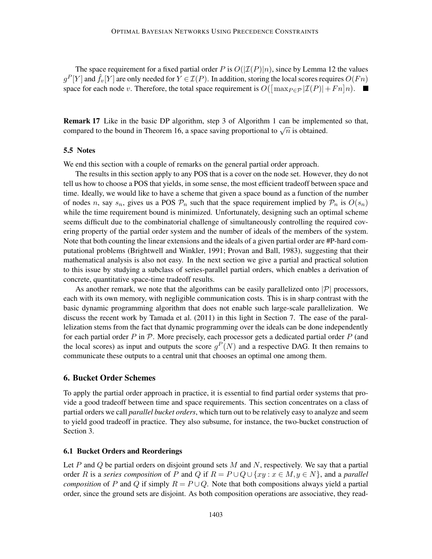The space requirement for a fixed partial order *P* is  $O(|\mathcal{I}(P)|n)$ , since by Lemma 12 the values  $g^P[Y]$  and  $\hat{f}_v[Y]$  are only needed for  $Y \in \mathcal{I}(P)$ . In addition, storing the local scores requires  $O(Fn)$ space for each node *v*. Therefore, the total space requirement is  $O([\max_{P \in \mathcal{P}} |\mathcal{I}(P)| + Fn]n)$ .

Remark 17 Like in the basic DP algorithm, step 3 of Algorithm 1 can be implemented so that, compared to the bound in Theorem 16, a space saving proportional to  $\sqrt{n}$  is obtained.

#### 5.5 Notes

We end this section with a couple of remarks on the general partial order approach.

The results in this section apply to any POS that is a cover on the node set. However, they do not tell us how to choose a POS that yields, in some sense, the most efficient tradeoff between space and time. Ideally, we would like to have a scheme that given a space bound as a function of the number of nodes *n*, say  $s_n$ , gives us a POS  $P_n$  such that the space requirement implied by  $P_n$  is  $O(s_n)$ while the time requirement bound is minimized. Unfortunately, designing such an optimal scheme seems difficult due to the combinatorial challenge of simultaneously controlling the required covering property of the partial order system and the number of ideals of the members of the system. Note that both counting the linear extensions and the ideals of a given partial order are #P-hard computational problems (Brightwell and Winkler, 1991; Provan and Ball, 1983), suggesting that their mathematical analysis is also not easy. In the next section we give a partial and practical solution to this issue by studying a subclass of series-parallel partial orders, which enables a derivation of concrete, quantitative space-time tradeoff results.

As another remark, we note that the algorithms can be easily parallelized onto  $|\mathcal{P}|$  processors, each with its own memory, with negligible communication costs. This is in sharp contrast with the basic dynamic programming algorithm that does not enable such large-scale parallelization. We discuss the recent work by Tamada et al. (2011) in this light in Section 7. The ease of the parallelization stems from the fact that dynamic programming over the ideals can be done independently for each partial order *P* in P. More precisely, each processor gets a dedicated partial order *P* (and the local scores) as input and outputs the score  $g^P(N)$  and a respective DAG. It then remains to communicate these outputs to a central unit that chooses an optimal one among them.

#### 6. Bucket Order Schemes

To apply the partial order approach in practice, it is essential to find partial order systems that provide a good tradeoff between time and space requirements. This section concentrates on a class of partial orders we call *parallel bucket orders*, which turn out to be relatively easy to analyze and seem to yield good tradeoff in practice. They also subsume, for instance, the two-bucket construction of Section 3.

## 6.1 Bucket Orders and Reorderings

Let *P* and *Q* be partial orders on disjoint ground sets *M* and *N*, respectively. We say that a partial order *R* is a *series composition* of *P* and *Q* if  $R = P \cup Q \cup \{xy : x \in M, y \in N\}$ , and a *parallel composition* of *P* and *Q* if simply  $R = P \cup Q$ . Note that both compositions always yield a partial order, since the ground sets are disjoint. As both composition operations are associative, they read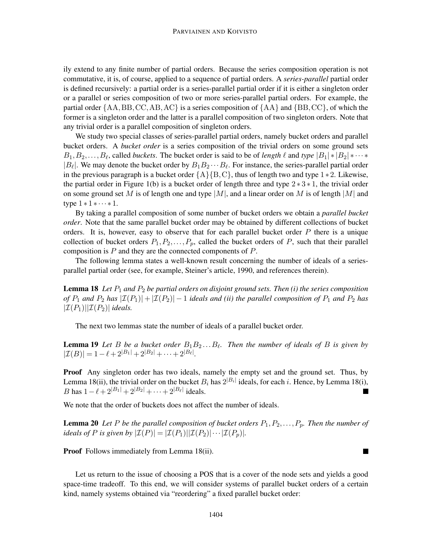ily extend to any finite number of partial orders. Because the series composition operation is not commutative, it is, of course, applied to a sequence of partial orders. A *series-parallel* partial order is defined recursively: a partial order is a series-parallel partial order if it is either a singleton order or a parallel or series composition of two or more series-parallel partial orders. For example, the partial order {AA*,*BB*,*CC*,*AB*,*AC} is a series composition of {AA} and {BB*,*CC}, of which the former is a singleton order and the latter is a parallel composition of two singleton orders. Note that any trivial order is a parallel composition of singleton orders.

We study two special classes of series-parallel partial orders, namely bucket orders and parallel bucket orders. A *bucket order* is a series composition of the trivial orders on some ground sets  $B_1, B_2, \ldots, B_\ell$ , called *buckets*. The bucket order is said to be of *length*  $\ell$  and *type*  $|B_1| * |B_2| * \cdots *$  $|B_\ell|$ . We may denote the bucket order by  $B_1B_2 \cdots B_\ell$ . For instance, the series-parallel partial order in the previous paragraph is a bucket order  ${A}{B,C}$ , thus of length two and type 1  $*$  2. Likewise, the partial order in Figure 1(b) is a bucket order of length three and type  $2 \times 3 \times 1$ , the trivial order on some ground set *M* is of length one and type |*M*|, and a linear order on *M* is of length |*M*| and type  $1 * 1 * \cdots * 1$ .

By taking a parallel composition of some number of bucket orders we obtain a *parallel bucket order*. Note that the same parallel bucket order may be obtained by different collections of bucket orders. It is, however, easy to observe that for each parallel bucket order *P* there is a unique collection of bucket orders  $P_1, P_2, \ldots, P_p$ , called the bucket orders of P, such that their parallel composition is *P* and they are the connected components of *P*.

The following lemma states a well-known result concerning the number of ideals of a seriesparallel partial order (see, for example, Steiner's article, 1990, and references therein).

Lemma 18 *Let P*<sup>1</sup> *and P*<sup>2</sup> *be partial orders on disjoint ground sets. Then (i) the series composition of*  $P_1$  *and*  $P_2$  *has*  $|\mathcal{I}(P_1)| + |\mathcal{I}(P_2)| - 1$  *ideals and (ii) the parallel composition of*  $P_1$  *and*  $P_2$  *has*  $|\mathcal{I}(P_1)| |\mathcal{I}(P_2)|$  *ideals.* 

The next two lemmas state the number of ideals of a parallel bucket order.

Lemma 19 *Let B be a bucket order B*1*B*<sup>2</sup> *...B<sup>ℓ</sup> . Then the number of ideals of B is given by*  $|\mathcal{I}(B)| = 1 - \ell + 2^{|B_1|} + 2^{|B_2|} + \cdots + 2^{|B_\ell|}.$ 

Proof Any singleton order has two ideals, namely the empty set and the ground set. Thus, by Lemma 18(ii), the trivial order on the bucket  $B_i$  has  $2^{|B_i|}$  ideals, for each *i*. Hence, by Lemma 18(i), *B* has  $1 - \ell + 2^{|B_1|} + 2^{|B_2|} + \cdots + 2^{|B_\ell|}$  ideals.

We note that the order of buckets does not affect the number of ideals.

**Lemma 20** Let P be the parallel composition of bucket orders  $P_1, P_2, \ldots, P_p$ *. Then the number of ideals of P is given by*  $|\mathcal{I}(P)| = |\mathcal{I}(P_1)||\mathcal{I}(P_2)| \cdots |\mathcal{I}(P_p)|$ *.* 

Proof Follows immediately from Lemma 18(ii).

Let us return to the issue of choosing a POS that is a cover of the node sets and yields a good space-time tradeoff. To this end, we will consider systems of parallel bucket orders of a certain kind, namely systems obtained via "reordering" a fixed parallel bucket order:

 $\blacksquare$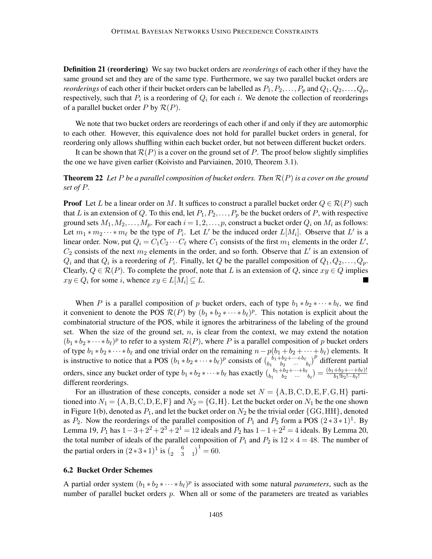Definition 21 (reordering) We say two bucket orders are *reorderings* of each other if they have the same ground set and they are of the same type. Furthermore, we say two parallel bucket orders are *reorderings* of each other if their bucket orders can be labelled as  $P_1, P_2, \ldots, P_p$  and  $Q_1, Q_2, \ldots, Q_p$ , respectively, such that  $P_i$  is a reordering of  $Q_i$  for each  $i$ . We denote the collection of reorderings of a parallel bucket order *P* by  $\mathcal{R}(P)$ .

We note that two bucket orders are reorderings of each other if and only if they are automorphic to each other. However, this equivalence does not hold for parallel bucket orders in general, for reordering only allows shuffling within each bucket order, but not between different bucket orders.

It can be shown that  $\mathcal{R}(P)$  is a cover on the ground set of P. The proof below slightly simplifies the one we have given earlier (Koivisto and Parviainen, 2010, Theorem 3.1).

**Theorem 22** Let P be a parallel composition of bucket orders. Then  $\mathcal{R}(P)$  is a cover on the ground *set of P.*

**Proof** Let *L* be a linear order on *M*. It suffices to construct a parallel bucket order  $Q \in \mathcal{R}(P)$  such that *L* is an extension of *Q*. To this end, let  $P_1, P_2, \ldots, P_p$  be the bucket orders of *P*, with respective ground sets  $M_1, M_2, \ldots, M_p$ . For each  $i = 1, 2, \ldots, p$ , construct a bucket order  $Q_i$  on  $M_i$  as follows: Let  $m_1 * m_2 \cdots * m_\ell$  be the type of  $P_i$ . Let  $L'$  be the induced order  $L[M_i]$ . Observe that  $L'$  is a linear order. Now, put  $Q_i = C_1 C_2 \cdots C_\ell$  where  $C_1$  consists of the first  $m_1$  elements in the order  $L'$ ,  $C_2$  consists of the next  $m_2$  elements in the order, and so forth. Observe that  $L'$  is an extension of  $Q_i$  and that  $Q_i$  is a reordering of  $P_i$ . Finally, let  $Q$  be the parallel composition of  $Q_1, Q_2, \ldots, Q_p$ . Clearly,  $Q \in \mathcal{R}(P)$ . To complete the proof, note that *L* is an extension of *Q*, since  $xy \in Q$  implies  $xy \in Q_i$  for some *i*, whence  $xy \in L[M_i] \subseteq L$ .

When *P* is a parallel composition of *p* bucket orders, each of type  $b_1 * b_2 * \cdots * b_\ell$ , we find it convenient to denote the POS  $\mathcal{R}(P)$  by  $(b_1 * b_2 * \cdots * b_\ell)^p$ . This notation is explicit about the combinatorial structure of the POS, while it ignores the arbitrariness of the labeling of the ground set. When the size of the ground set, *n*, is clear from the context, we may extend the notation  $(b_1 * b_2 * \cdots * b_\ell)^p$  to refer to a system  $\mathcal{R}(P)$ , where *P* is a parallel composition of *p* bucket orders of type  $b_1 * b_2 * \cdots * b_\ell$  and one trivial order on the remaining  $n - p(b_1 + b_2 + \cdots + b_\ell)$  elements. It is instructive to notice that a POS  $(b_1 * b_2 * \cdots * b_\ell)^p$  consists of  $\binom{b_1 + b_2 + \cdots + b_\ell}{b_2 + \cdots + b_\ell}$  $\begin{bmatrix} b_1 + b_2 + \cdots + b_{\ell} \\ b_1 & b_2 \end{bmatrix}^p$  different partial orders, since any bucket order of type  $b_1 * b_2 * \cdots * b_\ell$  has exactly  $\binom{b_1+b_2+\cdots+b_\ell}{b_2-\cdots}$  $\binom{b_1+b_2+\cdots+b_{\ell}}{b_1-b_2+\cdots+b_{\ell}} = \frac{(b_1+b_2+\cdots+b_{\ell})!}{b_1!b_2!\cdots b_{\ell}!}$  $b_1!b_2!\cdots b_\ell!$ different reorderings.

For an illustration of these concepts, consider a node set  $N = \{A, B, C, D, E, F, G, H\}$  partitioned into  $N_1 = \{A, B, C, D, E, F\}$  and  $N_2 = \{G, H\}$ . Let the bucket order on  $N_1$  be the one shown in Figure 1(b), denoted as  $P_1$ , and let the bucket order on  $N_2$  be the trivial order  $\{GG, HH\}$ , denoted as  $P_2$ . Now the reorderings of the parallel composition of  $P_1$  and  $P_2$  form a POS  $(2 \times 3 \times 1)^1$ . By Lemma 19,  $P_1$  has  $1-3+2^2+2^3+2^1=12$  ideals and  $P_2$  has  $1-1+2^2=4$  ideals. By Lemma 20, the total number of ideals of the parallel composition of  $P_1$  and  $P_2$  is  $12 \times 4 = 48$ . The number of the partial orders in  $(2 \times 3 \times 1)^1$  is  $\begin{pmatrix} 6 \\ 2 \end{pmatrix}$  $\begin{pmatrix} 6 & 1 \ 2 & 3 & 1 \end{pmatrix}^1 = 60.$ 

## 6.2 Bucket Order Schemes

A partial order system  $(b_1 * b_2 * \cdots * b_\ell)^p$  is associated with some natural *parameters*, such as the number of parallel bucket orders *p*. When all or some of the parameters are treated as variables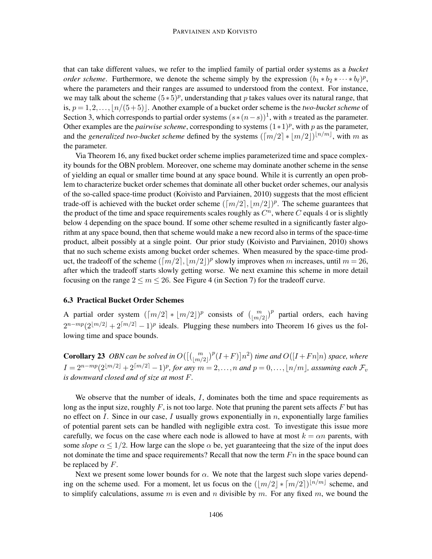that can take different values, we refer to the implied family of partial order systems as a *bucket order scheme.* Furthermore, we denote the scheme simply by the expression  $(b_1 * b_2 * \cdots * b_\ell)^p$ , where the parameters and their ranges are assumed to understood from the context. For instance, we may talk about the scheme  $(5 \times 5)^p$ , understanding that *p* takes values over its natural range, that is,  $p = 1, 2, \ldots, \lfloor n/(5+5) \rfloor$ . Another example of a bucket order scheme is the *two-bucket scheme* of Section 3, which corresponds to partial order systems  $(s*(n-s))$ <sup>1</sup>, with *s* treated as the parameter. Other examples are the *pairwise scheme*, corresponding to systems  $(1 \times 1)^p$ , with *p* as the parameter, and the *generalized two-bucket scheme* defined by the systems  $(\lceil m/2 \rceil * \lfloor m/2 \rfloor)^{\lfloor n/m \rfloor}$ , with m as the parameter.

Via Theorem 16, any fixed bucket order scheme implies parameterized time and space complexity bounds for the OBN problem. Moreover, one scheme may dominate another scheme in the sense of yielding an equal or smaller time bound at any space bound. While it is currently an open problem to characterize bucket order schemes that dominate all other bucket order schemes, our analysis of the so-called space-time product (Koivisto and Parviainen, 2010) suggests that the most efficient trade-off is achieved with the bucket order scheme  $(\lceil m/2 \rceil, \lfloor m/2 \rfloor)^p$ . The scheme guarantees that the product of the time and space requirements scales roughly as  $C<sup>n</sup>$ , where  $C$  equals 4 or is slightly below 4 depending on the space bound. If some other scheme resulted in a significantly faster algorithm at any space bound, then that scheme would make a new record also in terms of the space-time product, albeit possibly at a single point. Our prior study (Koivisto and Parviainen, 2010) shows that no such scheme exists among bucket order schemes. When measured by the space-time product, the tradeoff of the scheme  $(\lceil m/2 \rceil, \lfloor m/2 \rfloor)^p$  slowly improves when *m* increases, until  $m = 26$ , after which the tradeoff starts slowly getting worse. We next examine this scheme in more detail focusing on the range  $2 \le m \le 26$ . See Figure 4 (in Section 7) for the tradeoff curve.

#### 6.3 Practical Bucket Order Schemes

A partial order system  $(\lceil m/2 \rceil * \lfloor m/2 \rfloor)^p$  consists of  $\binom{m}{\lfloor m/2 \rfloor}^p$  partial orders, each having  $2^{n-mp}(2^{\lfloor m/2 \rfloor} + 2^{\lceil m/2 \rceil} - 1)^p$  ideals. Plugging these numbers into Theorem 16 gives us the following time and space bounds.

**Corollary 23** OBN can be solved in  $O((\binom{m}{\lfloor m/2 \rfloor})^p (I+F)] n^2)$  time and  $O((I+Fn]n)$  space, where *I* =  $2^{n - mp} (2^{\lfloor m/2 \rfloor} + 2^{\lceil m/2 \rceil} - 1)^p$ , for any  $m = 2, ..., n$  and  $p = 0, ..., \lfloor n/m \rfloor$ , assuming each  $\mathcal{F}_v$ *is downward closed and of size at most F.*

We observe that the number of ideals, *I*, dominates both the time and space requirements as long as the input size, roughly *F*, is not too large. Note that pruning the parent sets affects *F* but has no effect on *I*. Since in our case, *I* usually grows exponentially in *n*, exponentially large families of potential parent sets can be handled with negligible extra cost. To investigate this issue more carefully, we focus on the case where each node is allowed to have at most  $k = \alpha n$  parents, with some *slope*  $\alpha \leq 1/2$ . How large can the slope  $\alpha$  be, yet guaranteeing that the size of the input does not dominate the time and space requirements? Recall that now the term *F n* in the space bound can be replaced by *F*.

Next we present some lower bounds for *α*. We note that the largest such slope varies depending on the scheme used. For a moment, let us focus on the  $(\lfloor m/2 \rfloor * \lceil m/2 \rceil)^{\lfloor n/m \rfloor}$  scheme, and to simplify calculations, assume *m* is even and *n* divisible by *m*. For any fixed *m*, we bound the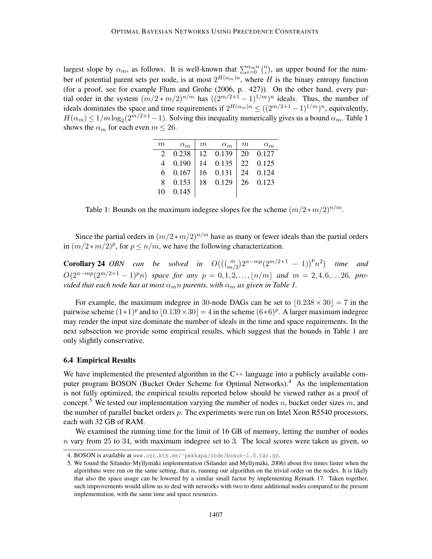largest slope by  $\alpha_m$ , as follows. It is well-known that  $\sum_{i=0}^{\alpha_m n} {n \choose i}$ , an upper bound for the number of potential parent sets per node, is at most  $2^{H(\alpha_m)n}$ , where *H* is the binary entropy function (for a proof, see for example Flum and Grohe (2006, p. 427)). On the other hand, every partial order in the system  $(m/2*m/2)^{n/m}$  has  $((2<sup>m/2+1</sup> - 1)<sup>1/m</sup>)<sup>n</sup>$  ideals. Thus, the number of ideals dominates the space and time requirements if  $2^{H(\alpha_m)n} \leq ((2^{m/2+1}-1)^{1/m})^n$ , equivalently,  $H(\alpha_m) \leq 1/m \log_2(2^{m/2+1}-1)$ . Solving this inequality numerically gives us a bound  $\alpha_m$ . Table 1 shows the  $\alpha_m$  for each even  $m \leq 26$ .

| m                     | $\alpha_m$ | $\,m$ | $\alpha_m$ | m  | $\alpha_m$ |
|-----------------------|------------|-------|------------|----|------------|
| $\mathcal{D}_{\cdot}$ | 0.238      |       | 12 0.139   | 20 | 0.127      |
| 4                     | 0.190      |       | 14 0.135   |    | 22 0.125   |
| 6.                    | 0.167      | 16    | 0.131      | 24 | 0.124      |
| 8                     | 0.153      | 18    | 0.129      |    | 26 0.123   |
| 10                    | 0.145      |       |            |    |            |

Table 1: Bounds on the maximum indegree slopes for the scheme  $(m/2 * m/2)^{n/m}$ .

Since the partial orders in  $(m/2*m/2)^{n/m}$  have as many or fewer ideals than the partial orders in  $(m/2 * m/2)^p$ , for  $p \le n/m$ , we have the following characterization.

**Corollary 24** OBN can be solved in  $O(((\binom{m}{m/2})2^{n-mp}(2^{m/2+1} - 1))^p n^2)$  time and  $O(2^{n-mp}(2^{m/2+1}-1)^p n)$  space for any  $p = 0,1,2,...,[n/m]$  and  $m = 2,4,6,...,26$ , pro*vided that each node has at most*  $\alpha_m n$  *parents, with*  $\alpha_m$  *as given in Table 1.* 

For example, the maximum indegree in 30-node DAGs can be set to  $|0.238 \times 30| = 7$  in the pairwise scheme  $(1 \times 1)^p$  and to  $\lfloor 0.139 \times 30 \rfloor = 4$  in the scheme  $(6 \times 6)^p$ . A larger maximum indegree may render the input size dominate the number of ideals in the time and space requirements. In the next subsection we provide some empirical results, which suggest that the bounds in Table 1 are only slightly conservative.

#### 6.4 Empirical Results

We have implemented the presented algorithm in the  $C_{++}$  language into a publicly available computer program BOSON (Bucket Order Scheme for Optimal Networks).<sup>4</sup> As the implementation is not fully optimized, the empirical results reported below should be viewed rather as a proof of concept.<sup>5</sup> We tested our implementation varying the number of nodes *n*, bucket order sizes *m*, and the number of parallel bucket orders *p*. The experiments were run on Intel Xeon R5540 processors, each with 32 GB of RAM.

We examined the running time for the limit of 16 GB of memory, letting the number of nodes *n* vary from 25 to 34, with maximum indegree set to 3. The local scores were taken as given, so

<sup>4.</sup> BOSON is available at www.csc.kth.se/~pekkapa/code/boson-1.0.tar.gz.

<sup>5.</sup> We found the Silander-Myllymäki implementation (Silander and Myllymäki, 2006) about five times faster when the algorithms were run on the same setting, that is, running our algorithm on the trivial order on the nodes. It is likely that also the space usage can be lowered by a similar small factor by implementing Remark 17. Taken together, such improvements would allow us to deal with networks with two to three additional nodes compared to the present implementation, with the same time and space resources.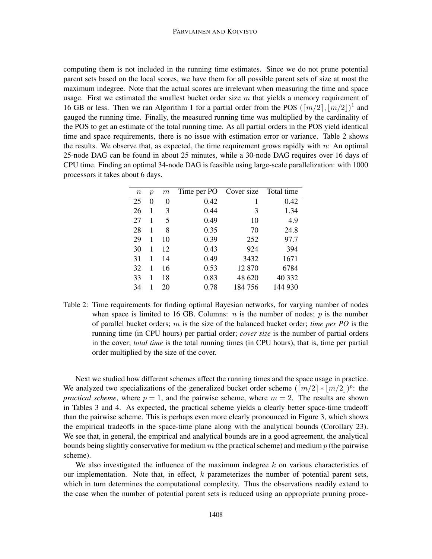computing them is not included in the running time estimates. Since we do not prune potential parent sets based on the local scores, we have them for all possible parent sets of size at most the maximum indegree. Note that the actual scores are irrelevant when measuring the time and space usage. First we estimated the smallest bucket order size  $m$  that yields a memory requirement of 16 GB or less. Then we ran Algorithm 1 for a partial order from the POS  $(\lceil m/2 \rceil, \lfloor m/2 \rfloor)^1$  and gauged the running time. Finally, the measured running time was multiplied by the cardinality of the POS to get an estimate of the total running time. As all partial orders in the POS yield identical time and space requirements, there is no issue with estimation error or variance. Table 2 shows the results. We observe that, as expected, the time requirement grows rapidly with *n*: An optimal 25-node DAG can be found in about 25 minutes, while a 30-node DAG requires over 16 days of CPU time. Finding an optimal 34-node DAG is feasible using large-scale parallelization: with 1000 processors it takes about 6 days.

| $\, n \,$ | $\mathfrak{p}$ | $\,m$ | Time per PO | Cover size | Total time |
|-----------|----------------|-------|-------------|------------|------------|
| 25        | 0              | 0     | 0.42        | 1          | 0.42       |
| 26        | 1              | 3     | 0.44        | 3          | 1.34       |
| 27        |                | 5     | 0.49        | 10         | 4.9        |
| 28        | 1              | 8     | 0.35        | 70         | 24.8       |
| 29        | 1              | 10    | 0.39        | 252        | 97.7       |
| 30        | 1              | 12    | 0.43        | 924        | 394        |
| 31        | 1              | 14    | 0.49        | 3432       | 1671       |
| 32        | 1              | 16    | 0.53        | 12870      | 6784       |
| 33        | 1              | 18    | 0.83        | 48 620     | 40 332     |
| 34        |                | 20    | 0.78        | 184 756    | 144 930    |

Table 2: Time requirements for finding optimal Bayesian networks, for varying number of nodes when space is limited to 16 GB. Columns:  $n$  is the number of nodes;  $p$  is the number of parallel bucket orders; *m* is the size of the balanced bucket order; *time per PO* is the running time (in CPU hours) per partial order; *cover size* is the number of partial orders in the cover; *total time* is the total running times (in CPU hours), that is, time per partial order multiplied by the size of the cover.

Next we studied how different schemes affect the running times and the space usage in practice. We analyzed two specializations of the generalized bucket order scheme  $(\lceil m/2 \rceil * \lfloor m/2 \rfloor)^p$ : the *practical scheme*, where  $p = 1$ , and the pairwise scheme, where  $m = 2$ . The results are shown in Tables 3 and 4. As expected, the practical scheme yields a clearly better space-time tradeoff than the pairwise scheme. This is perhaps even more clearly pronounced in Figure 3, which shows the empirical tradeoffs in the space-time plane along with the analytical bounds (Corollary 23). We see that, in general, the empirical and analytical bounds are in a good agreement, the analytical bounds being slightly conservative for medium *m* (the practical scheme) and medium *p* (the pairwise scheme).

We also investigated the influence of the maximum indegree *k* on various characteristics of our implementation. Note that, in effect, *k* parameterizes the number of potential parent sets, which in turn determines the computational complexity. Thus the observations readily extend to the case when the number of potential parent sets is reduced using an appropriate pruning proce-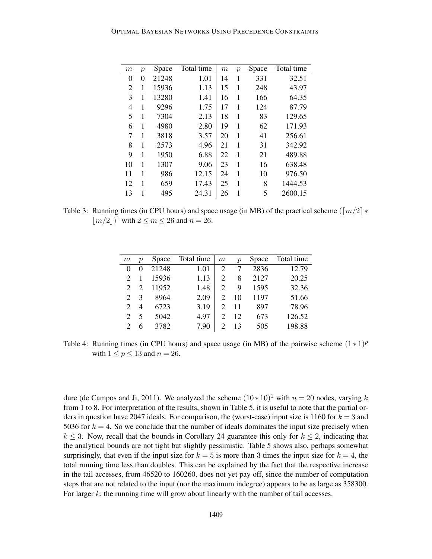| $\,m$ | $\boldsymbol{p}$ | Space | Total time | $\,m$ | $\mathcal{p}$ | Space | Total time |
|-------|------------------|-------|------------|-------|---------------|-------|------------|
| 0     | 0                | 21248 | 1.01       | 14    | 1             | 331   | 32.51      |
| 2     | 1                | 15936 | 1.13       | 15    | 1             | 248   | 43.97      |
| 3     | 1                | 13280 | 1.41       | 16    | 1             | 166   | 64.35      |
| 4     | 1                | 9296  | 1.75       | 17    | 1             | 124   | 87.79      |
| 5     | 1                | 7304  | 2.13       | 18    | 1             | 83    | 129.65     |
| 6     | 1                | 4980  | 2.80       | 19    | 1             | 62    | 171.93     |
| 7     | 1                | 3818  | 3.57       | 20    | 1             | 41    | 256.61     |
| 8     | 1                | 2573  | 4.96       | 21    | 1             | 31    | 342.92     |
| 9     | 1                | 1950  | 6.88       | 22    | 1             | 21    | 489.88     |
| 10    | 1                | 1307  | 9.06       | 23    | 1             | 16    | 638.48     |
| 11    | 1                | 986   | 12.15      | 24    | 1             | 10    | 976.50     |
| 12    | 1                | 659   | 17.43      | 25    | 1             | 8     | 1444.53    |
| 13    | 1                | 495   | 24.31      | 26    | 1             | 5     | 2600.15    |

Table 3: Running times (in CPU hours) and space usage (in MB) of the practical scheme ( $\lceil m/2 \rceil *$  $\lfloor m/2 \rfloor$ <sup>1</sup> with  $2 \le m \le 26$  and  $n = 26$ .

| m                           | $\boldsymbol{p}$            | Space | Total time | $\boldsymbol{m}$            | $\mathcal{D}$ | Space | Total time |
|-----------------------------|-----------------------------|-------|------------|-----------------------------|---------------|-------|------------|
| $\Omega$                    |                             | 21248 | 1.01       | $\overline{c}$              |               | 2836  | 12.79      |
| $\mathcal{D}_{\mathcal{L}}$ |                             | 15936 | 1.13       | $\mathfrak{D}$              | 8             | 2127  | 20.25      |
| 2                           | $\mathcal{D}_{\mathcal{L}}$ | 11952 | 1.48       | $\overline{c}$              | 9             | 1595  | 32.36      |
| $\mathcal{D}_{\mathcal{L}}$ | 3                           | 8964  | 2.09       | $\mathcal{D}_{\mathcal{A}}$ | 10            | 1197  | 51.66      |
| $\mathcal{D}$               | 4                           | 6723  | 3.19       | $\mathcal{D}_{\mathcal{L}}$ | 11            | 897   | 78.96      |
| $\mathcal{D}_{\mathcal{L}}$ | 5                           | 5042  | 4.97       | $\mathfrak{D}$              | 12            | 673   | 126.52     |
|                             | 6                           | 3782  | 7.90       | 2                           | 13            | 505   | 198.88     |

Table 4: Running times (in CPU hours) and space usage (in MB) of the pairwise scheme  $(1 \ast 1)^p$ with  $1 \leq p \leq 13$  and  $n = 26$ .

dure (de Campos and Ji, 2011). We analyzed the scheme  $(10 * 10)^1$  with  $n = 20$  nodes, varying k from 1 to 8. For interpretation of the results, shown in Table 5, it is useful to note that the partial orders in question have 2047 ideals. For comparison, the (worst-case) input size is 1160 for  $k = 3$  and 5036 for  $k = 4$ . So we conclude that the number of ideals dominates the input size precisely when  $k \leq 3$ . Now, recall that the bounds in Corollary 24 guarantee this only for  $k \leq 2$ , indicating that the analytical bounds are not tight but slightly pessimistic. Table 5 shows also, perhaps somewhat surprisingly, that even if the input size for  $k = 5$  is more than 3 times the input size for  $k = 4$ , the total running time less than doubles. This can be explained by the fact that the respective increase in the tail accesses, from 46520 to 160260, does not yet pay off, since the number of computation steps that are not related to the input (nor the maximum indegree) appears to be as large as 358300. For larger k, the running time will grow about linearly with the number of tail accesses.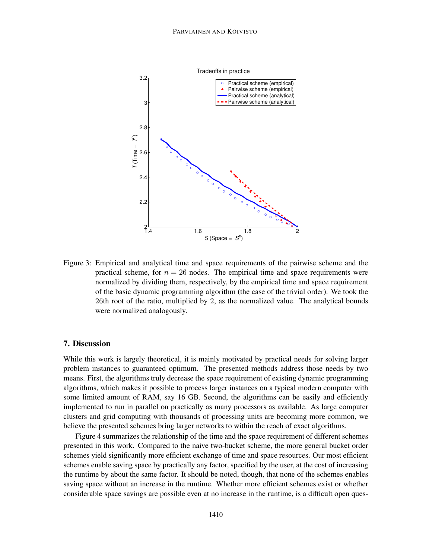

Figure 3: Empirical and analytical time and space requirements of the pairwise scheme and the practical scheme, for  $n = 26$  nodes. The empirical time and space requirements were normalized by dividing them, respectively, by the empirical time and space requirement of the basic dynamic programming algorithm (the case of the trivial order). We took the 26th root of the ratio, multiplied by 2, as the normalized value. The analytical bounds were normalized analogously.

## 7. Discussion

While this work is largely theoretical, it is mainly motivated by practical needs for solving larger problem instances to guaranteed optimum. The presented methods address those needs by two means. First, the algorithms truly decrease the space requirement of existing dynamic programming algorithms, which makes it possible to process larger instances on a typical modern computer with some limited amount of RAM, say 16 GB. Second, the algorithms can be easily and efficiently implemented to run in parallel on practically as many processors as available. As large computer clusters and grid computing with thousands of processing units are becoming more common, we believe the presented schemes bring larger networks to within the reach of exact algorithms.

Figure 4 summarizes the relationship of the time and the space requirement of different schemes presented in this work. Compared to the naive two-bucket scheme, the more general bucket order schemes yield significantly more efficient exchange of time and space resources. Our most efficient schemes enable saving space by practically any factor, specified by the user, at the cost of increasing the runtime by about the same factor. It should be noted, though, that none of the schemes enables saving space without an increase in the runtime. Whether more efficient schemes exist or whether considerable space savings are possible even at no increase in the runtime, is a difficult open ques-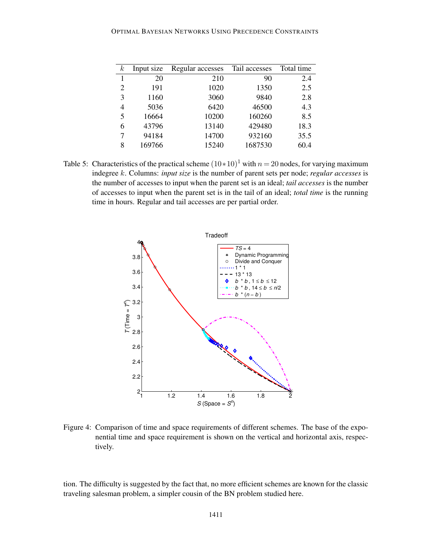## OPTIMAL BAYESIAN NETWORKS USING PRECEDENCE CONSTRAINTS

| $\boldsymbol{k}$ | Input size | Regular accesses | Tail accesses | Total time |
|------------------|------------|------------------|---------------|------------|
| 1                | 20         | 210              | 90            | 2.4        |
| $\overline{2}$   | 191        | 1020             | 1350          | 2.5        |
| 3                | 1160       | 3060             | 9840          | 2.8        |
| 4                | 5036       | 6420             | 46500         | 4.3        |
| 5                | 16664      | 10200            | 160260        | 8.5        |
| 6                | 43796      | 13140            | 429480        | 18.3       |
| 7                | 94184      | 14700            | 932160        | 35.5       |
| 8                | 169766     | 15240            | 1687530       | 60.4       |

Table 5: Characteristics of the practical scheme  $(10*10)^1$  with  $n = 20$  nodes, for varying maximum indegree *k*. Columns: *input size* is the number of parent sets per node; *regular accesses* is the number of accesses to input when the parent set is an ideal; *tail accesses* is the number of accesses to input when the parent set is in the tail of an ideal; *total time* is the running time in hours. Regular and tail accesses are per partial order.



Figure 4: Comparison of time and space requirements of different schemes. The base of the exponential time and space requirement is shown on the vertical and horizontal axis, respectively.

tion. The difficulty is suggested by the fact that, no more efficient schemes are known for the classic traveling salesman problem, a simpler cousin of the BN problem studied here.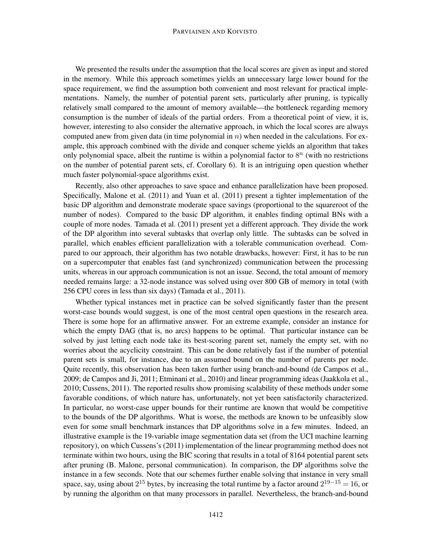#### PARVIAINEN AND KOIVISTO

We presented the results under the assumption that the local scores are given as input and stored in the memory. While this approach sometimes yields an unnecessary large lower bound for the space requirement, we find the assumption both convenient and most relevant for practical implementations. Namely, the number of potential parent sets, particularly after pruning, is typically relatively small compared to the amount of memory available—the bottleneck regarding memory consumption is the number of ideals of the partial orders. From a theoretical point of view, it is, however, interesting to also consider the alternative approach, in which the local scores are always computed anew from given data (in time polynomial in *n*) when needed in the calculations. For example, this approach combined with the divide and conquer scheme yields an algorithm that takes only polynomial space, albeit the runtime is within a polynomial factor to  $8^n$  (with no restrictions on the number of potential parent sets, cf. Corollary 6). It is an intriguing open question whether much faster polynomial-space algorithms exist.

Recently, also other approaches to save space and enhance parallelization have been proposed. Specifically, Malone et al. (2011) and Yuan et al. (2011) present a tighter implementation of the basic DP algorithm and demonstrate moderate space savings (proportional to the squareroot of the number of nodes). Compared to the basic DP algorithm, it enables finding optimal BNs with a couple of more nodes. Tamada et al. (2011) present yet a different approach. They divide the work of the DP algorithm into several subtasks that overlap only little. The subtasks can be solved in parallel, which enables efficient parallelization with a tolerable communication overhead. Compared to our approach, their algorithm has two notable drawbacks, however: First, it has to be run on a supercomputer that enables fast (and synchronized) communication between the processing units, whereas in our approach communication is not an issue. Second, the total amount of memory needed remains large: a 32-node instance was solved using over 800 GB of memory in total (with 256 CPU cores in less than six days) (Tamada et al., 2011).

Whether typical instances met in practice can be solved significantly faster than the present worst-case bounds would suggest, is one of the most central open questions in the research area. There is some hope for an affirmative answer. For an extreme example, consider an instance for which the empty DAG (that is, no arcs) happens to be optimal. That particular instance can be solved by just letting each node take its best-scoring parent set, namely the empty set, with no worries about the acyclicity constraint. This can be done relatively fast if the number of potential parent sets is small, for instance, due to an assumed bound on the number of parents per node. Quite recently, this observation has been taken further using branch-and-bound (de Campos et al., 2009; de Campos and Ji, 2011; Etminani et al., 2010) and linear programming ideas (Jaakkola et al., 2010; Cussens, 2011). The reported results show promising scalability of these methods under some favorable conditions, of which nature has, unfortunately, not yet been satisfactorily characterized. In particular, no worst-case upper bounds for their runtime are known that would be competitive to the bounds of the DP algorithms. What is worse, the methods are known to be unfeasibly slow even for some small benchmark instances that DP algorithms solve in a few minutes. Indeed, an illustrative example is the 19-variable image segmentation data set (from the UCI machine learning repository), on which Cussens's (2011) implementation of the linear programming method does not terminate within two hours, using the BIC scoring that results in a total of 8164 potential parent sets after pruning (B. Malone, personal communication). In comparison, the DP algorithms solve the instance in a few seconds. Note that our schemes further enable solving that instance in very small space, say, using about  $2^{15}$  bytes, by increasing the total runtime by a factor around  $2^{19-15} = 16$ , or by running the algorithm on that many processors in parallel. Nevertheless, the branch-and-bound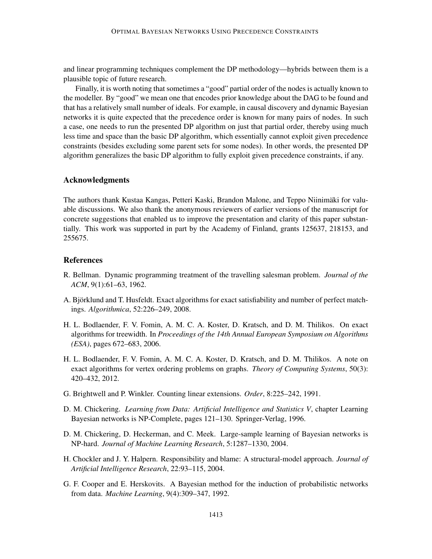and linear programming techniques complement the DP methodology—hybrids between them is a plausible topic of future research.

Finally, it is worth noting that sometimes a "good" partial order of the nodes is actually known to the modeller. By "good" we mean one that encodes prior knowledge about the DAG to be found and that has a relatively small number of ideals. For example, in causal discovery and dynamic Bayesian networks it is quite expected that the precedence order is known for many pairs of nodes. In such a case, one needs to run the presented DP algorithm on just that partial order, thereby using much less time and space than the basic DP algorithm, which essentially cannot exploit given precedence constraints (besides excluding some parent sets for some nodes). In other words, the presented DP algorithm generalizes the basic DP algorithm to fully exploit given precedence constraints, if any.

### Acknowledgments

The authors thank Kustaa Kangas, Petteri Kaski, Brandon Malone, and Teppo Niinimaki for valu- ¨ able discussions. We also thank the anonymous reviewers of earlier versions of the manuscript for concrete suggestions that enabled us to improve the presentation and clarity of this paper substantially. This work was supported in part by the Academy of Finland, grants 125637, 218153, and 255675.

## **References**

- R. Bellman. Dynamic programming treatment of the travelling salesman problem. *Journal of the ACM*, 9(1):61–63, 1962.
- A. Björklund and T. Husfeldt. Exact algorithms for exact satisfiability and number of perfect matchings. *Algorithmica*, 52:226–249, 2008.
- H. L. Bodlaender, F. V. Fomin, A. M. C. A. Koster, D. Kratsch, and D. M. Thilikos. On exact algorithms for treewidth. In *Proceedings of the 14th Annual European Symposium on Algorithms (ESA)*, pages 672–683, 2006.
- H. L. Bodlaender, F. V. Fomin, A. M. C. A. Koster, D. Kratsch, and D. M. Thilikos. A note on exact algorithms for vertex ordering problems on graphs. *Theory of Computing Systems*, 50(3): 420–432, 2012.
- G. Brightwell and P. Winkler. Counting linear extensions. *Order*, 8:225–242, 1991.
- D. M. Chickering. *Learning from Data: Artificial Intelligence and Statistics V*, chapter Learning Bayesian networks is NP-Complete, pages 121–130. Springer-Verlag, 1996.
- D. M. Chickering, D. Heckerman, and C. Meek. Large-sample learning of Bayesian networks is NP-hard. *Journal of Machine Learning Research*, 5:1287–1330, 2004.
- H. Chockler and J. Y. Halpern. Responsibility and blame: A structural-model approach. *Journal of Artificial Intelligence Research*, 22:93–115, 2004.
- G. F. Cooper and E. Herskovits. A Bayesian method for the induction of probabilistic networks from data. *Machine Learning*, 9(4):309–347, 1992.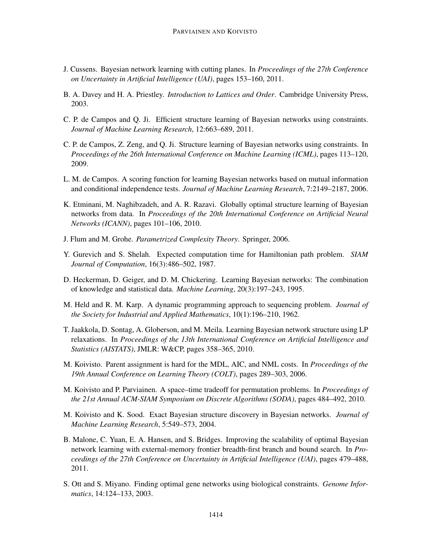- J. Cussens. Bayesian network learning with cutting planes. In *Proceedings of the 27th Conference on Uncertainty in Artificial Intelligence (UAI)*, pages 153–160, 2011.
- B. A. Davey and H. A. Priestley. *Introduction to Lattices and Order*. Cambridge University Press, 2003.
- C. P. de Campos and Q. Ji. Efficient structure learning of Bayesian networks using constraints. *Journal of Machine Learning Research*, 12:663–689, 2011.
- C. P. de Campos, Z. Zeng, and Q. Ji. Structure learning of Bayesian networks using constraints. In *Proceedings of the 26th International Conference on Machine Learning (ICML)*, pages 113–120, 2009.
- L. M. de Campos. A scoring function for learning Bayesian networks based on mutual information and conditional independence tests. *Journal of Machine Learning Research*, 7:2149–2187, 2006.
- K. Etminani, M. Naghibzadeh, and A. R. Razavi. Globally optimal structure learning of Bayesian networks from data. In *Proceedings of the 20th International Conference on Artificial Neural Networks (ICANN)*, pages 101–106, 2010.
- J. Flum and M. Grohe. *Parametrized Complexity Theory*. Springer, 2006.
- Y. Gurevich and S. Shelah. Expected computation time for Hamiltonian path problem. *SIAM Journal of Computation*, 16(3):486–502, 1987.
- D. Heckerman, D. Geiger, and D. M. Chickering. Learning Bayesian networks: The combination of knowledge and statistical data. *Machine Learning*, 20(3):197–243, 1995.
- M. Held and R. M. Karp. A dynamic programming approach to sequencing problem. *Journal of the Society for Industrial and Applied Mathematics*, 10(1):196–210, 1962.
- T. Jaakkola, D. Sontag, A. Globerson, and M. Meila. Learning Bayesian network structure using LP relaxations. In *Proceedings of the 13th International Conference on Artificial Intelligence and Statistics (AISTATS)*, JMLR: W&CP, pages 358–365, 2010.
- M. Koivisto. Parent assignment is hard for the MDL, AIC, and NML costs. In *Proceedings of the 19th Annual Conference on Learning Theory (COLT)*, pages 289–303, 2006.
- M. Koivisto and P. Parviainen. A space–time tradeoff for permutation problems. In *Proceedings of the 21st Annual ACM-SIAM Symposium on Discrete Algorithms (SODA)*, pages 484–492, 2010.
- M. Koivisto and K. Sood. Exact Bayesian structure discovery in Bayesian networks. *Journal of Machine Learning Research*, 5:549–573, 2004.
- B. Malone, C. Yuan, E. A. Hansen, and S. Bridges. Improving the scalability of optimal Bayesian network learning with external-memory frontier breadth-first branch and bound search. In *Proceedings of the 27th Conference on Uncertainty in Artificial Intelligence (UAI)*, pages 479–488, 2011.
- S. Ott and S. Miyano. Finding optimal gene networks using biological constraints. *Genome Informatics*, 14:124–133, 2003.